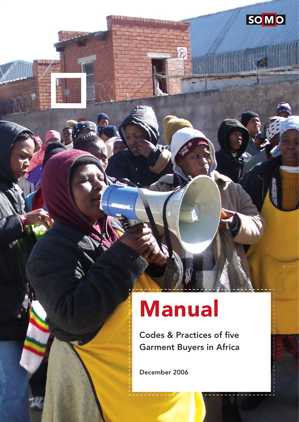# Manual

Codes & Practices of five Garment Buyers in Africa **SOMO** 

December 2006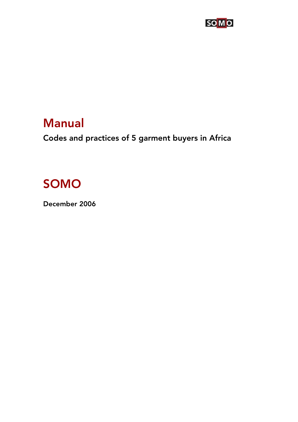

## Manual

Codes and practices of 5 garment buyers in Africa

## SOMO

December 2006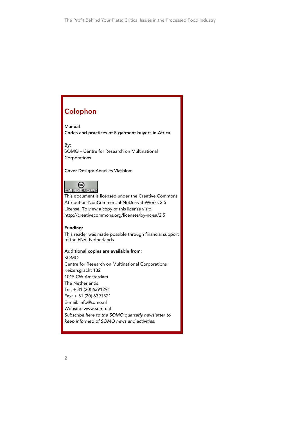## Colophon

Manual

Codes and practices of 5 garment buyers in Africa

By:

SOMO – Centre for Research on Multinational Corporations

Cover Design: Annelies Vlasblom



This document is licensed under the Creative Commons Attribution-NonCommercial-NoDerivateWorks 2.5 License. To view a copy of this license visit: http://creativecommons.org/licenses/by-nc-sa/2.5

Funding: This reader was made possible through financial support of the FNV, Netherlands

Additional copies are available from: SOMO Centre for Research on Multinational Corporations Keizersgracht 132 1015 CW Amsterdam The Netherlands Tel: + 31 (20) 6391291 Fax: + 31 (20) 6391321 E-mail: info@somo.nl Website: www.somo.nl Subscribe here to the SOMO quarterly newsletter to keep informed of SOMO news and activities.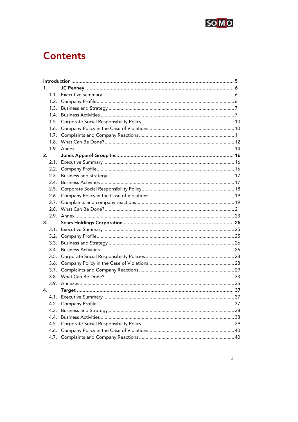

## **Contents**

| 1. |      |  |  |
|----|------|--|--|
|    |      |  |  |
|    | 1.2. |  |  |
|    | 1.3. |  |  |
|    | 1.4. |  |  |
|    | 1.5. |  |  |
|    | 1.6. |  |  |
|    | 1.7. |  |  |
|    | 1.8. |  |  |
|    |      |  |  |
| 2. |      |  |  |
|    |      |  |  |
|    |      |  |  |
|    | 2.3. |  |  |
|    | 2.4. |  |  |
|    | 2.5. |  |  |
|    | 2.6. |  |  |
|    | 2.7. |  |  |
|    |      |  |  |
|    |      |  |  |
| 3. |      |  |  |
|    |      |  |  |
|    |      |  |  |
|    |      |  |  |
|    | 3.4. |  |  |
|    | 3.5. |  |  |
|    | 3.6. |  |  |
|    | 3.7. |  |  |
|    |      |  |  |
|    |      |  |  |
| 4. |      |  |  |
|    |      |  |  |
|    | 4.2. |  |  |
|    | 4.3. |  |  |
|    | 4.4. |  |  |
|    | 4.5. |  |  |
|    | 4.6. |  |  |
|    | 4.7. |  |  |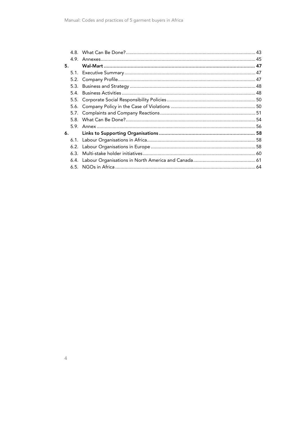| 5. |      |  |
|----|------|--|
|    |      |  |
|    |      |  |
|    |      |  |
|    | 5.4. |  |
|    |      |  |
|    |      |  |
|    |      |  |
|    |      |  |
|    |      |  |
| 6. |      |  |
|    |      |  |
|    |      |  |
|    |      |  |
|    |      |  |
|    |      |  |
|    |      |  |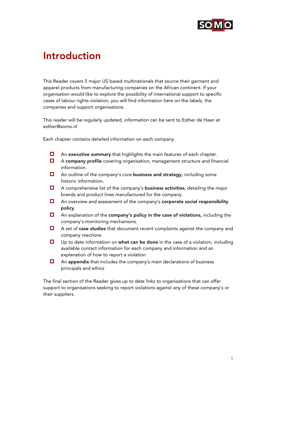

## Introduction

This Reader covers 5 major US based multinationals that source their garment and apparel products from manufacturing companies on the African continent. If your organisation would like to explore the possibility of international support to specific cases of labour rights violation, you will find information here on the labels, the companies and support organisations.

This reader will be regularly updated, information can be sent to Esther de Haan at esther@somo.nl

Each chapter contains detailed information on each company.

- $\Box$  An executive summary that highlights the main features of each chapter.
- A company profile covering organisation, management structure and financial information.
- $\Box$  An outline of the company's core **business and strategy**, including some historic information.
- $\Box$  A comprehensive list of the company's **business activities**, detailing the major brands and product lines manufactured for the company.
- $\Box$  An overview and assessment of the company's corporate social responsibility policy.
- $\Box$  An explanation of the company's policy in the case of violations, including the company's monitoring mechanisms.
- $\Box$  A set of **case studies** that document recent complaints against the company and company reactions.
- $\Box$  Up to date information on what can be done in the case of a violation, including available contact information for each company and information and an explanation of how to report a violation
- $\Box$  An appendix that includes the company's main declarations of business principals and ethics

The final section of the Reader gives up to date links to organisations that can offer support to organisations seeking to report violations against any of these company's or their suppliers.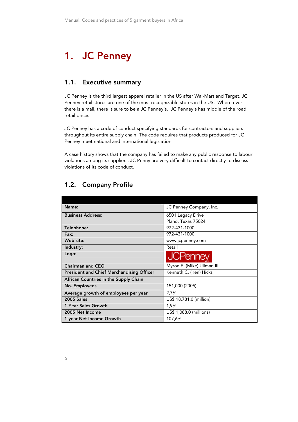## 1. JC Penney

## 1.1. Executive summary

JC Penney is the third largest apparel retailer in the US after Wal-Mart and Target. JC Penney retail stores are one of the most recognizable stores in the US. Where ever there is a mall, there is sure to be a JC Penney's. JC Penney's has middle of the road retail prices.

JC Penney has a code of conduct specifying standards for contractors and suppliers throughout its entire supply chain. The code requires that products produced for JC Penney meet national and international legislation.

A case history shows that the company has failed to make any public response to labour violations among its suppliers. JC Penny are very difficult to contact directly to discuss violations of its code of conduct.

## 1.2. Company Profile

| Name:                                            | JC Penney Company, Inc.    |
|--------------------------------------------------|----------------------------|
| <b>Business Address:</b>                         | 6501 Legacy Drive          |
|                                                  | Plano, Texas 75024         |
| Telephone:                                       | 972-431-1000               |
| Fax:                                             | 972-431-1000               |
| Web site:                                        | www.jcpenney.com           |
| Industry:                                        | Retail                     |
| Logo:                                            | <b>JCPenney</b>            |
| <b>Chairman and CEO</b>                          | Myron E. (Mike) Ullman III |
| <b>President and Chief Merchandising Officer</b> | Kenneth C. (Ken) Hicks     |
| African Countries in the Supply Chain            |                            |
| No. Employees                                    | 151,000 (2005)             |
| Average growth of employees per year             | 2,7%                       |
| <b>2005 Sales</b>                                | US\$ 18,781.0 (million)    |
| 1-Year Sales Growth                              | 1,9%                       |
| 2005 Net Income                                  | US\$ 1,088.0 (millions)    |
| 1-year Net Income Growth                         | 107,6%                     |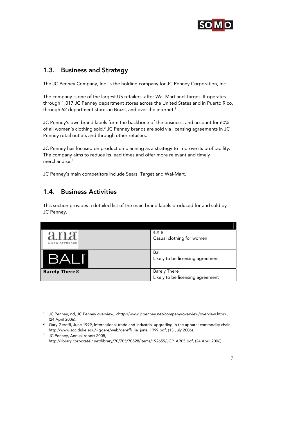

## 1.3. Business and Strategy

The JC Penney Company, Inc. is the holding company for JC Penney Corporation, Inc.

The company is one of the largest US retailers, after Wal-Mart and Target. It operates through 1,017 JC Penney department stores across the United States and in Puerto Rico, through 62 department stores in Brazil, and over the internet.<sup>1</sup>

JC Penney's own brand labels form the backbone of the business, and account for 60% of all women's clothing sold. $^2$  JC Penney brands are sold via licensing agreements in JC Penney retail outlets and through other retailers.

JC Penney has focused on production planning as a strategy to improve its profitability. The company aims to reduce its lead times and offer more relevant and timely merchandise.3

JC Penney's main competitors include Sears, Target and Wal-Mart.

## 1.4. Business Activities

-

This section provides a detailed list of the main brand labels produced for and sold by JC Penney.

| ana<br>NEW APPROACH  | a.n.a<br>Casual clothing for women                      |
|----------------------|---------------------------------------------------------|
| BAI                  | Bali<br>Likely to be licensing agreement                |
| <b>Barely There®</b> | <b>Barely There</b><br>Likely to be licensing agreement |

<sup>1</sup> JC Penney, nd, JC Penney overview, <http://www.jcpenney.net/company/overview/overview.htm>,

<sup>(24</sup> April 2006).<br><sup>2</sup> Gary Gereffi, June 1999, International trade and industrial upgrading in the apparel commodity chain, http://www.soc.duke.edu/~ggere/web/gereffi\_jie\_june\_1999.pdf, (13 July 2006). 3

<sup>&</sup>lt;sup>3</sup> JC Penney, Annual report 2005, http://library.corporateir.net/library/70/705/70528/items/192659/JCP\_AR05.pdf, (24 April 2006).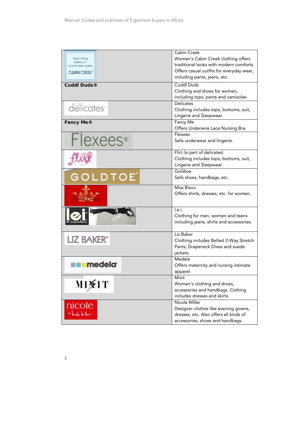|                           | Cabin Creek                              |
|---------------------------|------------------------------------------|
| Easy-fitting<br>basics in | Women's Cabin Creek clothing offers      |
| comfortable styles.       | traditional looks with modern comforts.  |
| <b>CABIN CREEK*</b>       | Offers casual outfits for everyday wear, |
|                           | including pants, jeans, etc.             |
| <b>Cuddl Duds®</b>        | <b>Cuddl Duds</b>                        |
|                           | Clothing and shoes for women,            |
|                           | including tops, pants and camisoles.     |
|                           | Delicates                                |
| delicates <sup>®</sup>    | Clothing includes tops, bottoms, suit,   |
|                           | Lingerie and Sleepwear.                  |
| Fancy Me®                 | Fancy Me                                 |
|                           | Offers Underwire Lace Nursing Bra.       |
|                           | Flexees                                  |
| <b>Flexees</b> ®          | Sells underwear and lingerie.            |
|                           |                                          |
|                           | Flirt (is part of delicates)             |
|                           | Clothing includes tops, bottoms, suit,   |
|                           | Lingerie and Sleepwear.                  |
|                           | Goldtoe                                  |
| GOLDTOE <sup>®</sup>      | Sells shoes, handbags, etc.              |
|                           |                                          |
|                           | Miss Bisou                               |
|                           | Offers shirts, dresses, etc. for women.  |
|                           |                                          |
|                           | I.e.i.                                   |
|                           | Clothing for men, women and teens        |
|                           | including jeans, shirts and accessories. |
|                           |                                          |
|                           | Liz Baker                                |
| LIZ BAKER®                | Clothing includes Belted 2-Way Stretch   |
|                           | Pants, Drapeneck Dress and suede         |
|                           | jackets.                                 |
|                           | Medela                                   |
| <b>Example 19</b>         | Offers maternity and nursing intimate    |
|                           | apparel                                  |
|                           | Mixit                                    |
| <b>MI¥IT</b>              | Women's clothing and shoes,              |
|                           | accessories and handbags. Cothing        |
|                           | includes dresses and skirts.             |
|                           | Nicole Miller                            |
| nicole<br>West kilo       | Designer clothes like evening gowns,     |
|                           | dresses, etc. Also offers all kinds of   |
|                           | accessories, shoes and handbags.         |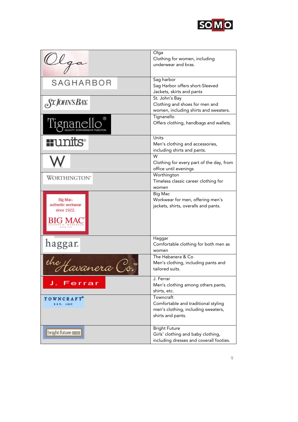

| llga                                                     | Olga<br>Clothing for women, including<br>underwear and bras.                                                 |
|----------------------------------------------------------|--------------------------------------------------------------------------------------------------------------|
| SAGHARBOR                                                | Sag harbor<br>Sag Harbor offers short-Sleeved<br>Jackets, skirts and pants                                   |
| ST. JOHN'S BAY                                           | St. John's Bay<br>Clothing and shoes for men and<br>women, including shirts and sweaters.                    |
| Tignane                                                  | Tignanello<br>Offers clothing, handbags and wallets.                                                         |
| $\blacksquare$ unit $S^\circ$                            | Units<br>Men's clothing and accessories,<br>including shirts and pants.                                      |
|                                                          | W<br>Clothing for every part of the day, from<br>office until evenings                                       |
| WORTHINGTON®                                             | Worthington<br>Timeless classic career clothing for<br>women                                                 |
| Big Mac:<br>authentic workwear<br>since 1922.<br>BIG MAC | <b>Big Mac</b><br>Workwear for men, offering men's<br>jackets, shirts, overalls and pants.                   |
| haggar.                                                  | Haggar<br>Comfortable clothing for both men as<br>women                                                      |
| tavanera C                                               | The Habanera & Co<br>Men's clothing, including pants and<br>tailored suits.                                  |
| J. Ferrar                                                | J. Ferrar<br>Men's clothing among others pants,<br>shirts, etc.                                              |
| TOWNCRAFT <sup>®</sup><br>E S T. 1927                    | Towncraft<br>Comfortable and traditional styling<br>men's clothing, including sweaters,<br>shirts and pants. |
| bright future races                                      | <b>Bright Future</b><br>Girls' clothing and baby clothing,<br>including dresses and coverall footies.        |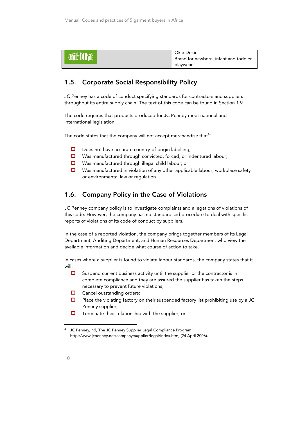|            | Okie-Dokie                            |
|------------|---------------------------------------|
| ohic DOKie | Brand for newborn, infant and toddler |
|            | playwear                              |

## 1.5. Corporate Social Responsibility Policy

JC Penney has a code of conduct specifying standards for contractors and suppliers throughout its entire supply chain. The text of this code can be found in Section 1.9.

The code requires that products produced for JC Penney meet national and international legislation.

The code states that the company will not accept merchandise that $^4\!\! :$ 

- Does not have accurate country-of-origin labelling;
- Was manufactured through convicted, forced, or indentured labour;
- Was manufactured through illegal child labour; or
- $\Box$  Was manufactured in violation of any other applicable labour, workplace safety or environmental law or regulation.

## 1.6. Company Policy in the Case of Violations

JC Penney company policy is to investigate complaints and allegations of violations of this code. However, the company has no standardised procedure to deal with specific reports of violations of its code of conduct by suppliers.

In the case of a reported violation, the company brings together members of its Legal Department, Auditing Department, and Human Resources Department who view the available information and decide what course of action to take.

In cases where a supplier is found to violate labour standards, the company states that it will:

- $\square$  Suspend current business activity until the supplier or the contractor is in complete compliance and they are assured the supplier has taken the steps necessary to prevent future violations;
- $\Box$  Cancel outstanding orders;
- $\Box$  Place the violating factory on their suspended factory list prohibiting use by a JC Penney supplier;
- $\Box$  Terminate their relationship with the supplier; or

<sup>4</sup> JC Penney, nd, The JC Penney Supplier Legal Compliance Program, http://www.jcpenney.net/company/supplier/legal/index.htm, (24 April 2006).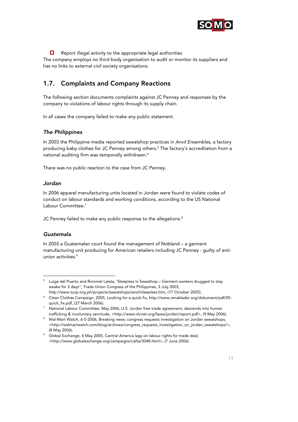

 $\Box$  Report illegal activity to the appropriate legal authorities

The company employs no third body organisation to audit or monitor its suppliers and has no links to external civil society organisations.

## 1.7. Complaints and Company Reactions

The following section documents complaints against JC Penney and responses by the company to violations of labour rights through its supply chain.

In all cases the company failed to make any public statement.

## The Philippines

In 2003 the Philippine media reported sweatshop practices in Anvil Ensembles, a factory producing baby clothes for JC Penney among others.5 The factory's accreditation from a national auditing firm was temporally withdrawn.<sup>6</sup>

There was no public reaction to the case from JC Penney.

## Jordan

In 2006 apparel manufacturing units located in Jordan were found to violate codes of conduct on labour standards and working conditions, according to the US National Labour Committee.7

JC Penney failed to make any public response to the allegations.<sup>8</sup>

## Guatemala

j

In 2003 a Guatemalan court found the management of Nobland – a garment manufacturing unit producing for American retailers including JC Penney - guilty of antiunion activities.<sup>9</sup>

 $^{\rm 5}$   $\,$  Luige del Puerto and Rommel Lalata, 'Sleepless in Sweathop – Garment workers drugged to stay awake for 3 days", Trade Union Congress of the Philippines, 3 July 2003, http://www.tucp.org.ph/projects/sweatshops/anvil/sleepless.htm, (17 October 2005). 6

Clean Clothes Campaign, 2005, Looking for a quick fix, http://www.renaklader.org/dokument/pdf/05 quick\_fix.pdf, (27 March 2006).

<sup>&</sup>lt;sup>7</sup> National Labour Committee, May 2006, U.S. Jordan free trade agreement; descends into human trafficking & involuntary servitude, <http://www.nlcnet.org/faxes/jordan/report.pdf>, (9 May 2006).

<sup>&</sup>lt;sup>8</sup> Wal-Mart Watch, 6-5-2006, Breaking news: congress requests investigation on Jordan sweatshops, <http://walmartwatch.com/blog/archives/congress\_requests\_investigation\_on\_jordan\_sweatshops/>, (8 May 2006).

<sup>&</sup>lt;sup>9</sup> Global Exchange, 4 May 2005, Central America lags on labour rights for trade deal, <http://www.globalexchange.org/campaigns/cafta/3048.html>, (7 June 2006).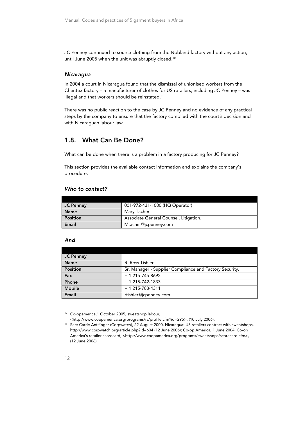JC Penney continued to source clothing from the Nobland factory without any action, until June 2005 when the unit was abruptly closed.<sup>10</sup>

## **Nicaragua**

In 2004 a court in Nicaragua found that the dismissal of unionised workers from the Chentex factory – a manufacturer of clothes for US retailers, including JC Penney – was illegal and that workers should be reinstated.<sup>11</sup>

There was no public reaction to the case by JC Penney and no evidence of any practical steps by the company to ensure that the factory complied with the court's decision and with Nicaraguan labour law.

## 1.8. What Can Be Done?

What can be done when there is a problem in a factory producing for JC Penney?

This section provides the available contact information and explains the company's procedure.

## Who to contact?

| JC Penney       | 001-972-431-1000 (HQ Operator)         |
|-----------------|----------------------------------------|
| <b>Name</b>     | Marv Tacher                            |
| <b>Position</b> | Associate General Counsel, Litigation. |
| Email           | Mtacher@jcpenney.com                   |

#### And

| <b>JC Penney</b> |                                                         |
|------------------|---------------------------------------------------------|
| <b>Name</b>      | R. Ross Tishler                                         |
| <b>Position</b>  | Sr. Manager - Supplier Compliance and Factory Security. |
| Fax              | $+ 1 215 - 745 - 8692$                                  |
| Phone            | $+ 1 215 - 742 - 1833$                                  |
| <b>Mobile</b>    | $+ 1 215 - 783 - 4311$                                  |
| Email            | rtishler@jcpenney.com                                   |

<sup>10</sup> Co-opamerica,1 October 2005, sweatshop labour,

<sup>&</sup>lt;http://www.coopamerica.org/programs/rs/profile.cfm?id=295>, (10 July 2006). 11 See: Carrie Antlfinger (Corpwatch), 22 August 2000, Nicaragua: US retailers contract with sweatshops, http://www.corpwatch.org/article.php?id=604 (12 June 2006); Co-op America, 1 June 2004, Co-op America's retailer scorecard, <http://www.coopamerica.org/programs/sweatshops/scorecard.cfm>, (12 June 2006).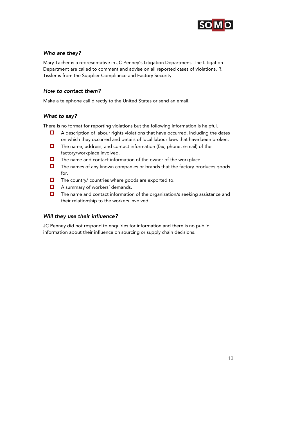

## Who are they?

Mary Tacher is a representative in JC Penney's Litigation Department. The Litigation Department are called to comment and advise on all reported cases of violations. R. Tissler is from the Supplier Compliance and Factory Security.

## How to contact them?

Make a telephone call directly to the United States or send an email.

## What to say?

There is no format for reporting violations but the following information is helpful.

- $\Box$  A description of labour rights violations that have occurred, including the dates on which they occurred and details of local labour laws that have been broken.
- $\Box$  The name, address, and contact information (fax, phone, e-mail) of the factory/workplace involved.
- $\Box$  The name and contact information of the owner of the workplace.
- $\Box$  The names of any known companies or brands that the factory produces goods for.
- $\Box$  The country/ countries where goods are exported to.
- **A** summary of workers' demands.
- $\Box$  The name and contact information of the organization/s seeking assistance and their relationship to the workers involved.

## Will they use their influence?

JC Penney did not respond to enquiries for information and there is no public information about their influence on sourcing or supply chain decisions.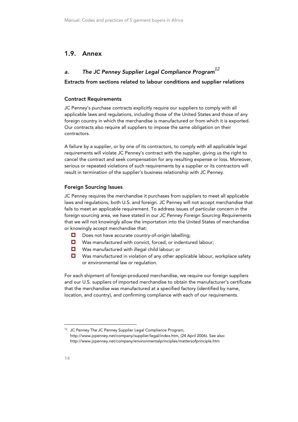## 1.9. Annex

## a. The JC Penney Supplier Legal Compliance Program*<sup>12</sup>*

## Extracts from sections related to labour conditions and supplier relations

#### Contract Requirements

JC Penney's purchase contracts explicitly require our suppliers to comply with all applicable laws and regulations, including those of the United States and those of any foreign country in which the merchandise is manufactured or from which it is exported. Our contracts also require all suppliers to impose the same obligation on their contractors.

A failure by a supplier, or by one of its contractors, to comply with all applicable legal requirements will violate JC Penney's contract with the supplier, giving us the right to cancel the contract and seek compensation for any resulting expense or loss. Moreover, serious or repeated violations of such requirements by a supplier or its contractors will result in termination of the supplier's business relationship with JC Penney.

#### Foreign Sourcing Issues

JC Penney requires the merchandise it purchases from suppliers to meet all applicable laws and regulations, both U.S. and foreign. JC Penney will not accept merchandise that fails to meet an applicable requirement. To address issues of particular concern in the foreign sourcing area, we have stated in our JC Penney Foreign Sourcing Requirements that we will not knowingly allow the importation into the United States of merchandise or knowingly accept merchandise that:

- Does not have accurate country-of-origin labelling;
- Was manufactured with convict, forced, or indentured labour;
- Was manufactured with illegal child labour; or
- $\Box$  Was manufactured in violation of any other applicable labour, workplace safety or environmental law or regulation.

For each shipment of foreign-produced merchandise, we require our foreign suppliers and our U.S. suppliers of imported merchandise to obtain the manufacturer's certificate that the merchandise was manufactured at a specified factory (identified by name, location, and country), and confirming compliance with each of our requirements.

<sup>&</sup>lt;sup>12</sup> JC Penney The JC Penney Supplier Legal Compliance Program, http://www.jcpenney.net/company/supplier/legal/index.htm, (24 April 2006). See also: http://www.jcpenney.net/company/environmentalprinciples/mattersofprinciple.htm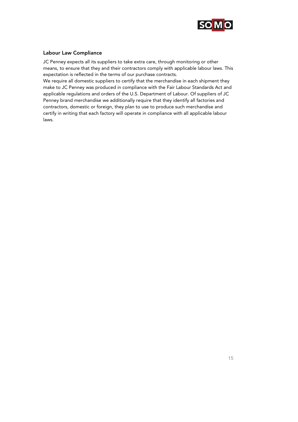

## Labour Law Compliance

JC Penney expects all its suppliers to take extra care, through monitoring or other means, to ensure that they and their contractors comply with applicable labour laws. This expectation is reflected in the terms of our purchase contracts.

We require all domestic suppliers to certify that the merchandise in each shipment they make to JC Penney was produced in compliance with the Fair Labour Standards Act and applicable regulations and orders of the U.S. Department of Labour. Of suppliers of JC Penney brand merchandise we additionally require that they identify all factories and contractors, domestic or foreign, they plan to use to produce such merchandise and certify in writing that each factory will operate in compliance with all applicable labour laws.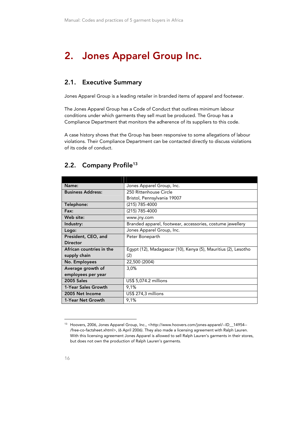## 2. Jones Apparel Group Inc.

## 2.1. Executive Summary

Jones Apparel Group is a leading retailer in branded items of apparel and footwear.

The Jones Apparel Group has a Code of Conduct that outlines minimum labour conditions under which garments they sell must be produced. The Group has a Compliance Department that monitors the adherence of its suppliers to this code.

A case history shows that the Group has been responsive to some allegations of labour violations. Their Compliance Department can be contacted directly to discuss violations of its code of conduct.

| Name:                    | Jones Apparel Group, Inc.                                      |  |
|--------------------------|----------------------------------------------------------------|--|
| <b>Business Address:</b> | 250 Rittenhouse Circle                                         |  |
|                          | Bristol, Pennsylvania 19007                                    |  |
| Telephone:               | (215) 785-4000                                                 |  |
| Fax:                     | (215) 785-4000                                                 |  |
| Web site:                | www.jny.com                                                    |  |
| Industry:                | Branded apparel, footwear, accessories, costume jewellery      |  |
| Logo:                    | Jones Apparel Group, Inc.                                      |  |
| President, CEO, and      | Peter Boneparth                                                |  |
| Director                 |                                                                |  |
| African countries in the | Egypt (12), Madagascar (10), Kenya (5), Mauritius (2), Lesotho |  |
| supply chain             | (2)                                                            |  |
| No. Employees            | 22,500 (2004)                                                  |  |
| Average growth of        | 3,0%                                                           |  |
| employees per year       |                                                                |  |
| <b>2005 Sales</b>        | US\$ 5,074.2 millions                                          |  |
| 1-Year Sales Growth      | 9,1%                                                           |  |
| 2005 Net Income          | US\$ 274,3 millions                                            |  |
| 1-Year Net Growth        | 9,1%                                                           |  |

## 2.2. Company Profile<sup>13</sup>

<sup>13</sup> Hoovers, 2006, Jones Apparel Group, Inc., <http://www.hoovers.com/jones-apparel/--ID\_\_14954-- /free-co-factsheet.xhtml>, (6 April 2006). They also made a licensing agreement with Ralph Lauren. With this licensing agreement Jones Apparel is allowed to sell Ralph Lauren's garments in their stores, but does not own the production of Ralph Lauren's garments.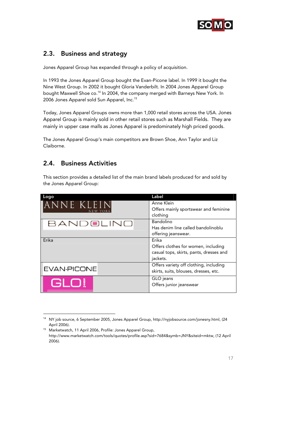

## 2.3. Business and strategy

Jones Apparel Group has expanded through a policy of acquisition.

In 1993 the Jones Apparel Group bought the Evan-Picone label. In 1999 it bought the Nine West Group. In 2002 it bought Gloria Vanderbilt. In 2004 Jones Apparel Group bought Maxwell Shoe co.<sup>14</sup> In 2004, the company merged with Barneys New York. In 2006 Jones Apparel sold Sun Apparel, Inc.15

Today, Jones Apparel Groups owns more than 1,000 retail stores across the USA. Jones Apparel Group is mainly sold in other retail stores such as Marshall Fields. They are mainly in upper case malls as Jones Apparel is predominately high priced goods.

The Jones Apparel Group's main competitors are Brown Shoe, Ann Taylor and Liz Claiborne.

## 2.4. Business Activities

-

This section provides a detailed list of the main brand labels produced for and sold by the Jones Apparel Group:

| Logo               | Label                                   |
|--------------------|-----------------------------------------|
| ANNE KLEIN         | Anne Klein                              |
|                    | Offers mainly sportswear and feminine   |
|                    | clothing                                |
| BANDOLINO          | Bandolino                               |
|                    | Has denim line called bandolinoblu      |
|                    | offering jeanswear.                     |
| Erika              | Erika                                   |
|                    | Offers clothes for women, including     |
|                    | casual tops, skirts, pants, dresses and |
|                    | jackets.                                |
|                    | Offers variety off clothing, including  |
| <b>EVAN-PICONE</b> | skirts, suits, blouses, dresses, etc.   |
|                    | GLO jeans                               |
| GLO!               | Offers junior jeanswear                 |
|                    |                                         |

<sup>14</sup> NY job source, 6 September 2005, Jones Apparel Group, http://nyjobsource.com/jonesny.html, (24

April 2006). 15 Marketwatch, 11 April 2006, Profile: Jones Apparel Group, http://www.marketwatch.com/tools/quotes/profile.asp?sid=7684&symb=JNY&siteid=mktw, (12 April 2006).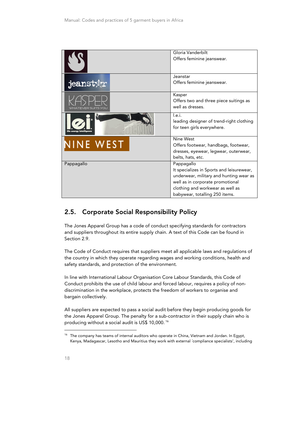|            | Gloria Vanderbilt<br>Offers feminine jeanswear.                                                                                                                                                              |
|------------|--------------------------------------------------------------------------------------------------------------------------------------------------------------------------------------------------------------|
| jeanst:    | Jeanstar<br>Offers feminine jeanswear.                                                                                                                                                                       |
|            | Kasper<br>Offers two and three piece suitings as<br>well as dresses.                                                                                                                                         |
|            | I.e.i.<br>leading designer of trend-right clothing<br>for teen girls everywhere.                                                                                                                             |
| NINE WEST  | Nine West<br>Offers footwear, handbags, footwear,<br>dresses, eyewear, legwear, outerwear,<br>belts, hats, etc.                                                                                              |
| Pappagallo | Pappagallo<br>It specializes in Sports and leisurewear,<br>underwear, military and hunting wear as<br>well as in corporate promotional<br>clothing and workwear as well as<br>babywear, totalling 250 items. |

## 2.5. Corporate Social Responsibility Policy

The Jones Apparel Group has a code of conduct specifying standards for contractors and suppliers throughout its entire supply chain. A text of this Code can be found in Section 2.9.

The Code of Conduct requires that suppliers meet all applicable laws and regulations of the country in which they operate regarding wages and working conditions, health and safety standards, and protection of the environment.

In line with International Labour Organisation Core Labour Standards, this Code of Conduct prohibits the use of child labour and forced labour, requires a policy of nondiscrimination in the workplace, protects the freedom of workers to organise and bargain collectively.

All suppliers are expected to pass a social audit before they begin producing goods for the Jones Apparel Group. The penalty for a sub-contractor in their supply chain who is producing without a social audit is US\$ 10,000. 16

<sup>&</sup>lt;sup>16</sup> The company has teams of internal auditors who operate in China, Vietnam and Jordan. In Egypt, Kenya, Madagascar, Lesotho and Mauritius they work with external ´compliance specialists', including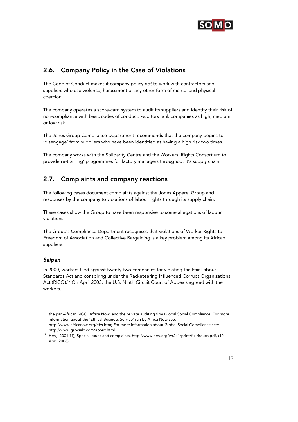

## 2.6. Company Policy in the Case of Violations

The Code of Conduct makes it company policy not to work with contractors and suppliers who use violence, harassment or any other form of mental and physical coercion.

The company operates a score-card system to audit its suppliers and identify their risk of non-compliance with basic codes of conduct. Auditors rank companies as high, medium or low risk.

The Jones Group Compliance Department recommends that the company begins to 'disengage' from suppliers who have been identified as having a high risk two times.

The company works with the Solidarity Centre and the Workers' Rights Consortium to provide re-training' programmes for factory managers throughout it's supply chain.

## 2.7. Complaints and company reactions

The following cases document complaints against the Jones Apparel Group and responses by the company to violations of labour rights through its supply chain.

These cases show the Group to have been responsive to some allegations of labour violations.

The Group's Compliance Department recognises that violations of Worker Rights to Freedom of Association and Collective Bargaining is a key problem among its African suppliers.

## Saipan

-

In 2000, workers filed against twenty-two companies for violating the Fair Labour Standards Act and conspiring under the Racketeering Influenced Corrupt Organizations Act (RICO).17 On April 2003, the U.S. Ninth Circuit Court of Appeals agreed with the workers.

the pan-African NGO 'Africa Now' and the private auditing firm Global Social Compliance. For more information about the 'Ethical Business Service' run by Africa Now see: http://www.africanow.org/ebs.htm; For more information about Global Social Compliance see:

http://www.gsocialc.com/about.html 17 Hrw, 2001(??), Special issues and complaints, http://www.hrw.org/wr2k1/print/full/issues.pdf, (10

April 2006).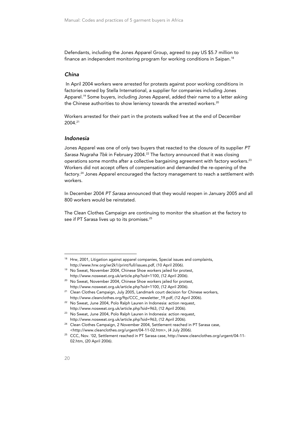Defendants, including the Jones Apparel Group, agreed to pay US \$5.7 million to finance an independent monitoring program for working conditions in Saipan.<sup>18</sup>

#### China

In April 2004 workers were arrested for protests against poor working conditions in factories owned by Stella International, a supplier for companies including Jones Apparel.19 Some buyers, including Jones Apparel, added their name to a letter asking the Chinese authorities to show leniency towards the arrested workers.<sup>20</sup>

Workers arrested for their part in the protests walked free at the end of December 2004.21

#### Indonesia

Jones Apparel was one of only two buyers that reacted to the closure of its supplier PT Sarasa Nugraha Tbk in February 2004.<sup>22</sup> The factory announced that it was closing operations some months after a collective bargaining agreement with factory workers.<sup>23</sup> Workers did not accept offers of compensation and demanded the re-opening of the factory.24 Jones Apparel encouraged the factory management to reach a settlement with workers.

In December 2004 PT Sarasa announced that they would reopen in January 2005 and all 800 workers would be reinstated.

The Clean Clothes Campaign are continuing to monitor the situation at the factory to see if PT Sarasa lives up to its promises.<sup>25</sup>

<sup>&</sup>lt;sup>18</sup> Hrw, 2001, Litigation against apparel companies, Special issues and complaints, http://www.hrw.org/wr2k1/print/full/issues.pdf, (10 April 2006). 19 No Sweat, November 2004, Chinese Shoe workers jailed for protest,

http://www.nosweat.org.uk/article.php?sid=1100, (12 April 2006). 20 No Sweat, November 2004, Chinese Shoe workers jailed for protest,

http://www.nosweat.org.uk/article.php?sid=1100, (12 April 2006).<br><sup>21</sup> Clean Clothes Campaign, July 2005, Landmark court decision for Chinese workers,

http://www.cleanclothes.org/ftp/CCC\_newsletter\_19.pdf, (12 April 2006). 22 No Sweat, June 2004, Polo Ralph Lauren in Indonesia: action request,

http://www.nosweat.org.uk/article.php?sid=963, (12 April 2006). 23 No Sweat, June 2004, Polo Ralph Lauren in Indonesia: action request,

http://www.nosweat.org.uk/article.php?sid=963, (12 April 2006).<br><sup>24</sup> Clean Clothes Campaign, 2 November 2004, Settlement reached in PT Sarasa case,

<sup>&</sup>lt;http://www.cleanclothes.org/urgent/04-11-02.htm>, (4 July 2006). 25 CCC, Nov. '02, Settlement reached in PT Sarasa case, http://www.cleanclothes.org/urgent/04-11- 02.htm, (20 April 2006).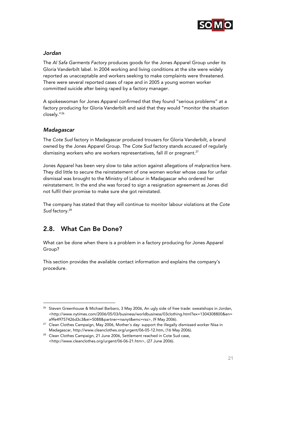

## Jordan

The Al Safa Garments Factory produces goods for the Jones Apparel Group under its Gloria Vanderbilt label. In 2004 working and living conditions at the site were widely reported as unacceptable and workers seeking to make complaints were threatened. There were several reported cases of rape and in 2005 a young women worker committed suicide after being raped by a factory manager.

A spokeswoman for Jones Apparel confirmed that they found "serious problems" at a factory producing for Gloria Vanderbilt and said that they would "monitor the situation closely."26

## Madagascar

-

The Cote Sud factory in Madagascar produced trousers for Gloria Vanderbilt, a brand owned by the Jones Apparel Group. The Cote Sud factory stands accused of regularly dismissing workers who are workers representatives, fall ill or pregnant.<sup>27</sup>

Jones Apparel has been very slow to take action against allegations of malpractice here. They did little to secure the reinstatement of one women worker whose case for unfair dismissal was brought to the Ministry of Labour in Madagascar who ordered her reinstatement. In the end she was forced to sign a resignation agreement as Jones did not fulfil their promise to make sure she got reinstated.

The company has stated that they will continue to monitor labour violations at the Cote Sud factory.<sup>28</sup>

## 2.8. What Can Be Done?

What can be done when there is a problem in a factory producing for Jones Apparel Group?

This section provides the available contact information and explains the company's procedure.

<sup>&</sup>lt;sup>26</sup> Steven Greenhouse & Michael Barbaro, 3 May 2006, An ugly side of free trade: sweatshops in Jordan, <http://www.nytimes.com/2006/05/03/business/worldbusiness/03clothing.html?ex=1304308800&en=

a9fe49757426d3c3&ei=5088&partner=rssnyt&emc=rss>, (9 May 2006). 27 Clean Clothes Campaign, May 2006, Mother's day: support the illegally dismissed worker Nisa in

Madagascar, http://www.cleanclothes.org/urgent/06-05-12.htm, (16 May 2006). 28 Clean Clothes Campaign, 21 June 2006, Settlement reached in Cote Sud case, <http://www.cleanclothes.org/urgent/06-06-21.htm>, (27 June 2006).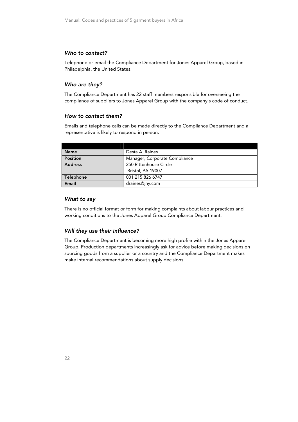## Who to contact?

Telephone or email the Compliance Department for Jones Apparel Group, based in Philadelphia, the United States.

#### Who are they?

The Compliance Department has 22 staff members responsible for overseeing the compliance of suppliers to Jones Apparel Group with the company's code of conduct.

#### How to contact them?

Emails and telephone calls can be made directly to the Compliance Department and a representative is likely to respond in person.

| <b>Name</b>     | Desta A. Raines               |
|-----------------|-------------------------------|
| <b>Position</b> | Manager, Corporate Compliance |
| <b>Address</b>  | 250 Rittenhouse Circle        |
|                 | Bristol, PA 19007             |
| Telephone       | 001 215 826 6747              |
| Email           | draines@jny.com               |

#### What to say

There is no official format or form for making complaints about labour practices and working conditions to the Jones Apparel Group Compliance Department.

#### Will they use their influence?

The Compliance Department is becoming more high profile within the Jones Apparel Group. Production departments increasingly ask for advice before making decisions on sourcing goods from a supplier or a country and the Compliance Department makes make internal recommendations about supply decisions.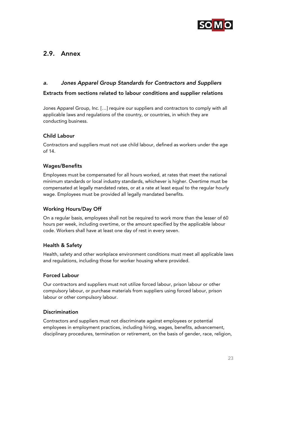

## 2.9. Annex

## a. Jones Apparel Group Standards for Contractors and Suppliers

## Extracts from sections related to labour conditions and supplier relations

Jones Apparel Group, Inc. […] require our suppliers and contractors to comply with all applicable laws and regulations of the country, or countries, in which they are conducting business.

## Child Labour

Contractors and suppliers must not use child labour, defined as workers under the age of 14.

## Wages/Benefits

Employees must be compensated for all hours worked, at rates that meet the national minimum standards or local industry standards, whichever is higher. Overtime must be compensated at legally mandated rates, or at a rate at least equal to the regular hourly wage. Employees must be provided all legally mandated benefits.

## Working Hours/Day Off

On a regular basis, employees shall not be required to work more than the lesser of 60 hours per week, including overtime, or the amount specified by the applicable labour code. Workers shall have at least one day of rest in every seven.

## Health & Safety

Health, safety and other workplace environment conditions must meet all applicable laws and regulations, including those for worker housing where provided.

## Forced Labour

Our contractors and suppliers must not utilize forced labour, prison labour or other compulsory labour, or purchase materials from suppliers using forced labour, prison labour or other compulsory labour.

## **Discrimination**

Contractors and suppliers must not discriminate against employees or potential employees in employment practices, including hiring, wages, benefits, advancement, disciplinary procedures, termination or retirement, on the basis of gender, race, religion,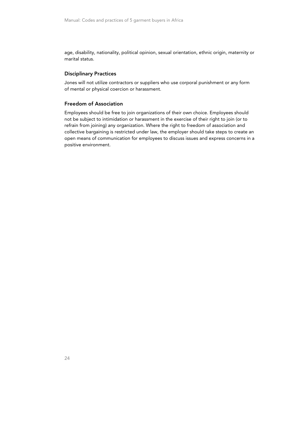age, disability, nationality, political opinion, sexual orientation, ethnic origin, maternity or marital status.

#### Disciplinary Practices

Jones will not utilize contractors or suppliers who use corporal punishment or any form of mental or physical coercion or harassment.

#### Freedom of Association

Employees should be free to join organizations of their own choice. Employees should not be subject to intimidation or harassment in the exercise of their right to join (or to refrain from joining) any organization. Where the right to freedom of association and collective bargaining is restricted under law, the employer should take steps to create an open means of communication for employees to discuss issues and express concerns in a positive environment.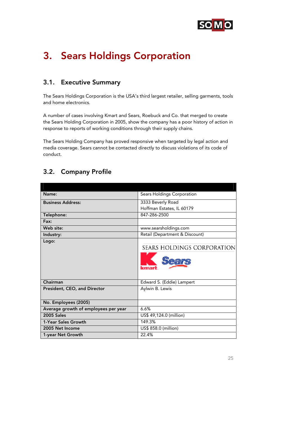

## 3. Sears Holdings Corporation

## 3.1. Executive Summary

The Sears Holdings Corporation is the USA's third largest retailer, selling garments, tools and home electronics.

A number of cases involving Kmart and Sears, Roebuck and Co. that merged to create the Sears Holding Corporation in 2005, show the company has a poor history of action in response to reports of working conditions through their supply chains.

The Sears Holding Company has proved responsive when targeted by legal action and media coverage. Sears cannot be contacted directly to discuss violations of its code of conduct.

## 3.2. Company Profile

| Sears Holdings Corporation                  |
|---------------------------------------------|
| 3333 Beverly Road                           |
| Hoffman Estates, IL 60179                   |
| 847-286-2500                                |
|                                             |
| www.searsholdings.com                       |
| Retail (Department & Discount)              |
| SEARS HOLDINGS CORPORATION<br>ears<br>kmark |
| Edward S. (Eddie) Lampert                   |
| Aylwin B. Lewis                             |
|                                             |
| 6.6%                                        |
| US\$ 49,124.0 (million)                     |
| 149.3%                                      |
| US\$ 858.0 (million)                        |
| 22.4%                                       |
|                                             |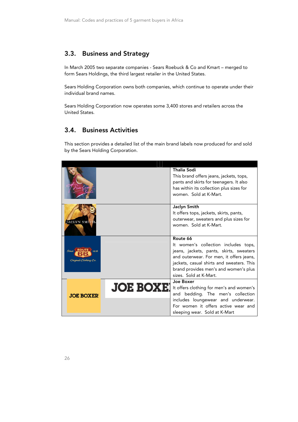## 3.3. Business and Strategy

In March 2005 two separate companies - Sears Roebuck & Co and Kmart – merged to form Sears Holdings, the third largest retailer in the United States.

Sears Holding Corporation owns both companies, which continue to operate under their individual brand names.

Sears Holding Corporation now operates some 3,400 stores and retailers across the United States.

## 3.4. Business Activities

This section provides a detailed list of the main brand labels now produced for and sold by the Sears Holding Corporation.

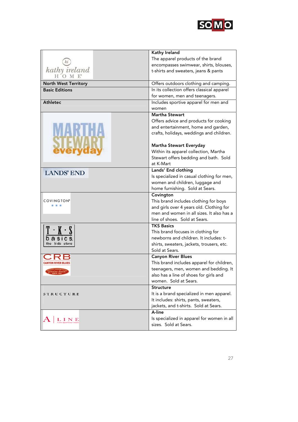

|                             | Kathy Ireland                                   |
|-----------------------------|-------------------------------------------------|
|                             | The apparel products of the brand               |
|                             | encompasses swimwear, shirts, blouses,          |
| kathy ireland               | t-shirts and sweaters, jeans & pants            |
|                             |                                                 |
| <b>North West Territory</b> | Offers outdoors clothing and camping.           |
| <b>Basic Editions</b>       | In its collection offers classical apparel      |
|                             | for women, men and teenagers.                   |
| <b>Athletec</b>             | Includes sportive apparel for men and           |
|                             | women                                           |
|                             | Martha Stewart                                  |
|                             | Offers advice and products for cooking          |
|                             | and entertainment, home and garden,             |
|                             | crafts, holidays, weddings and children.        |
|                             |                                                 |
|                             | <b>Martha Stewart Everyday</b>                  |
|                             | Within its apparel collection, Martha           |
|                             | Stewart offers bedding and bath. Sold           |
|                             | at K-Mart                                       |
| <b>LANDS' END</b>           | Lands' End clothing                             |
|                             | Is specialized in casual clothing for men,      |
|                             | women and children, luggage and                 |
|                             | home furnishing. Sold at Sears.                 |
|                             | Covington                                       |
| <b>COVINGTON®</b>           | This brand includes clothing for boys           |
|                             | and girls over 4 years old. Clothing for        |
|                             | men and women in all sizes. It also has a       |
|                             | line of shoes. Sold at Sears.                   |
|                             | <b>TKS Basics</b>                               |
|                             | This brand focuses in clothing for              |
|                             | newborns and children. It includes: t-          |
| kids store                  | shirts, sweaters, jackets, trousers, etc.       |
|                             | Sold at Sears.                                  |
|                             | <b>Canyon River Blues</b>                       |
|                             | This brand includes apparel for children,       |
| nuine denim                 | teenagers, men, women and bedding. It           |
|                             | also has a line of shoes for girls and          |
|                             | women. Sold at Sears.                           |
|                             | Structure                                       |
| STRUCTURE                   | It is a brand specialized in men apparel.       |
|                             | It includes: shirts, pants, sweaters,           |
|                             | jackets, and t-shirts. Sold at Sears.<br>A-line |
|                             |                                                 |
| LINE                        | Is specialized in apparel for women in all      |
|                             | sizes. Sold at Sears.                           |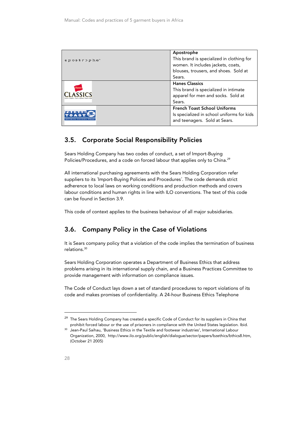| apostrophe <sup>*</sup> | Apostrophe<br>This brand is specialized in clothing for<br>women. It includes jackets, coats,<br>blouses, trousers, and shoes. Sold at<br>Sears. |
|-------------------------|--------------------------------------------------------------------------------------------------------------------------------------------------|
| Eane                    | <b>Hanes Classics</b><br>This brand is specialized in intimate<br>apparel for men and socks. Sold at<br>Sears.                                   |
|                         | <b>French Toast School Uniforms</b><br>Is specialized in school uniforms for kids<br>and teenagers. Sold at Sears.                               |

## 3.5. Corporate Social Responsibility Policies

Sears Holding Company has two codes of conduct, a set of Import-Buying Policies/Procedures, and a code on forced labour that applies only to China.<sup>29</sup>

All international purchasing agreements with the Sears Holding Corporation refer suppliers to its ´Import-Buying Policies and Procedures´. The code demands strict adherence to local laws on working conditions and production methods and covers labour conditions and human rights in line with ILO conventions. The text of this code can be found in Section 3.9.

This code of context applies to the business behaviour of all major subsidiaries.

## 3.6. Company Policy in the Case of Violations

It is Sears company policy that a violation of the code implies the termination of business relations.30

Sears Holding Corporation operates a Department of Business Ethics that address problems arising in its international supply chain, and a Business Practices Committee to provide management with information on compliance issues.

The Code of Conduct lays down a set of standard procedures to report violations of its code and makes promises of confidentiality. A 24-hour Business Ethics Telephone

j

<sup>&</sup>lt;sup>29</sup> The Sears Holding Company has created a specific Code of Conduct for its suppliers in China that prohibit forced labour or the use of prisoners in compliance with the United States legislation. Ibid. 30 Jean-Paul Saihau, 'Business Ethics in the Textile and footwear industries', International Labour

Organization, 2000, http://www.ilo.org/public/english/dialogue/sector/papers/bzethics/bthics8.htm, (October 21 2005)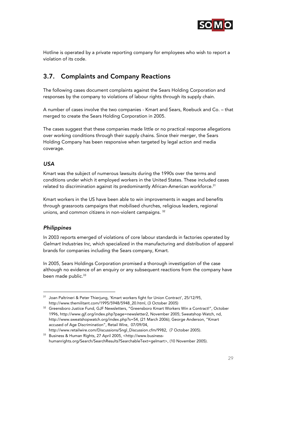

Hotline is operated by a private reporting company for employees who wish to report a violation of its code.

## 3.7. Complaints and Company Reactions

The following cases document complaints against the Sears Holding Corporation and responses by the company to violations of labour rights through its supply chain.

A number of cases involve the two companies - Kmart and Sears, Roebuck and Co. – that merged to create the Sears Holding Corporation in 2005.

The cases suggest that these companies made little or no practical response allegations over working conditions through their supply chains. Since their merger, the Sears Holding Company has been responsive when targeted by legal action and media coverage.

## USA

Kmart was the subject of numerous lawsuits during the 1990s over the terms and conditions under which it employed workers in the United States. These included cases related to discrimination against its predominantly African-American workforce.<sup>31</sup>

Kmart workers in the US have been able to win improvements in wages and benefits through grassroots campaigns that mobilised churches, religious leaders, regional unions, and common citizens in non-violent campaigns. 32

## **Philippines**

j

In 2003 reports emerged of violations of core labour standards in factories operated by Gelmart Industries Inc, which specialized in the manufacturing and distribution of apparel brands for companies including the Sears company, Kmart.

In 2005, Sears Holdings Corporation promised a thorough investigation of the case although no evidence of an enquiry or any subsequent reactions from the company have been made public.<sup>33</sup>

<sup>31</sup> Joan Paltrineri & Peter Thierjung, 'Kmart workers fight for Union Contract', 25/12/95,

http://www.themilitant.com/1995/5948/5948\_20.html, (3 October 2005) 32 Greensboro Justice Fund, GJF Newsletters, "Greensboro Kmart Workers Win a Contract!", October 1996, http://www.gjf.org/index.php?page=newsletter2, November 2005; Sweatshop Watch, nd, http://www.sweatshopwatch.org/index.php?s=54, (21 March 2006); George Anderson, "Kmart accused of Age Discrimination", Retail Wire, 07/09/04,

http://www.retailwire.com/Discussions/Sngl\_Discussion.cfm/9982, (7 October 2005). 33 Business & Human Rights, 27 April 2005, <http://www.businesshumanrights.org/Search/SearchResults?SearchableText=gelmart>, (10 November 2005).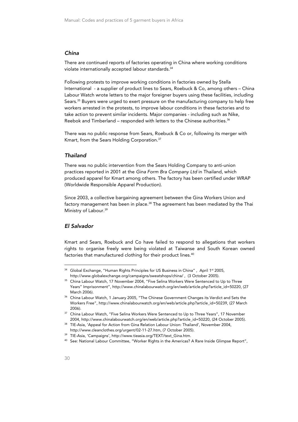#### China

There are continued reports of factories operating in China where working conditions violate internationally accepted labour standards.<sup>34</sup>

Following protests to improve working conditions in factories owned by Stella International - a supplier of product lines to Sears, Roebuck & Co, among others – China Labour Watch wrote letters to the major foreigner buyers using these facilities, including Sears.<sup>35</sup> Buyers were urged to exert pressure on the manufacturing company to help free workers arrested in the protests, to improve labour conditions in these factories and to take action to prevent similar incidents. Major companies - including such as Nike, Reebok and Timberland – responded with letters to the Chinese authorities.<sup>36</sup>

There was no public response from Sears, Roebuck & Co or, following its merger with Kmart, from the Sears Holding Corporation.37

#### Thailand

There was no public intervention from the Sears Holding Company to anti-union practices reported in 2001 at the Gina Form Bra Company Ltd in Thailand, which produced apparel for Kmart among others. The factory has been certified under WRAP (Worldwide Responsible Apparel Production).

Since 2003, a collective bargaining agreement between the Gina Workers Union and factory management has been in place.<sup>38</sup> The agreement has been mediated by the Thai Ministry of Labour.<sup>39</sup>

#### El Salvador

Kmart and Sears, Roebuck and Co have failed to respond to allegations that workers rights to organise freely were being violated at Taiwanse and South Korean owned factories that manufactured clothing for their product lines.<sup>40</sup>

<sup>&</sup>lt;sup>34</sup> Global Exchange, "Human Rights Principles for US Business in China", April 1st 2005, http://www.globalexchange.org/campaigns/sweatshops/china/ , (3 October 2005). 35 China Labour Watch, 17 November 2004, "Five Selina Workers Were Sentenced to Up to Three

Years" Imprisonment", http://www.chinalabourwatch.org/en/web/article.php?article\_id=50220, (27 March 2006). 36 China Labour Watch, 1 January 2005, "The Chinese Government Changes its Verdict and Sets the

Workers Free", http://www.chinalabourwatch.org/en/web/article.php?article\_id=50239, (27 March 2006). 37 China Labour Watch, "Five Selina Workers Were Sentenced to Up to Three Years", 17 November

<sup>2004,</sup> http://www.chinalabourwatch.org/en/web/article.php?article\_id=50220, (24 October 2005). 38 TIE-Asia, 'Appeal for Action from Gina Relation Labour Union: Thailand', November 2004,

http://www.cleanclothes.org/urgent/02-11-27.htm, (7 October 2005).<br><sup>39</sup> TIE-Asia, 'Campaigns', http://www.tieasia.org/TEXT/text\_Gina.htm.<br><sup>40</sup> See: National Labour Committee, "Worker Rights in the Americas? A Rare Inside G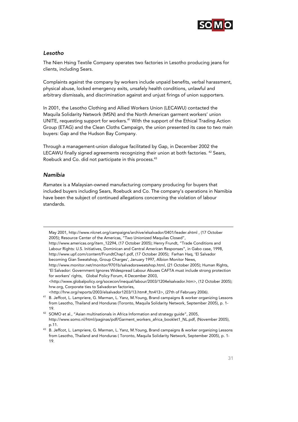

## Lesotho

The Nien Hsing Textile Company operates two factories in Lesotho producing jeans for clients, including Sears.

Complaints against the company by workers include unpaid benefits, verbal harassment, physical abuse, locked emergency exits, unsafely health conditions, unlawful and arbitrary dismissals, and discrimination against and unjust firings of union supporters.

In 2001, the Lesotho Clothing and Allied Workers Union (LECAWU) contacted the Maquila Solidarity Network (MSN) and the North American garment workers' union UNITE, requesting support for workers.<sup>41</sup> With the support of the Ethical Trading Action Group (ETAG) and the Clean Cloths Campaign, the union presented its case to two main buyers: Gap and the Hudson Bay Company.

Through a management-union dialogue facilitated by Gap, in December 2002 the LECAWU finally signed agreements recognizing their union at both factories. <sup>42</sup> Sears, Roebuck and Co. did not participate in this process.<sup>43</sup>

## Namibia

j

Ramatex is a Malaysian-owned manufacturing company producing for buyers that included buyers including Sears, Roebuck and Co. The company's operations in Namibia have been the subject of continued allegations concerning the violation of labour standards.

May 2001, http://www.nlcnet.org/campaigns/archive/elsalvador/0401/leader.shtml , (17 October 2005); Resource Center of the Americas, "Two Unionized Maquilas Closed", http://www.americas.org/item\_12294, (17 October 2005); Henry Frundt, "Trade Conditions and Labour Rights: U.S. Initiatives, Dominican and Central American Responses", in Gabo case, 1998, http://www.upf.com/content/FrundtChap1.pdf, (17 October 2005); Farhan Haq, 'El Salvador becoming Gian Sweatshop, Group Charges', January 1997, Albion Monitor News, http://www.monitor.net/monitor/9701b/salvadorsweatshop.html, (21 October 2005); Human Rights, 'El Salvador: Government Ignores Widespread Labour Abuses CAFTA must include strong protection for workers' rights, Global Policy Forum, 4 December 2003, <http://www.globalpolicy.org/socecon/inequal/labour/2003/1204elsalvador.htm>, (12 October 2005); hrw.org, Corporate ties to Salvadoran factories,

<sup>&</sup>lt;http://hrw.org/reports/2003/elsalvador1203/13.htm#\_ftn413>, (27th of February 2006). 41 B. Jeffcot, L. Lampriere, G. Marman, L. Yanz, M.Young, Brand campaigns & worker organizing Lessons from Lesotho, Thailand and Honduras (Toronto, Maquila Solidarity Network, September 2005), p. 1-

<sup>19.&</sup>lt;br><sup>42</sup> SOMO et al., "Asian multinationals in Africa Information and strategy guide", 2005, http://www.somo.nl/html/paginas/pdf/Garment\_workers\_africa\_booklet1\_NL.pdf, (November 2005),

p.11. 43 B. Jeffcot, L. Lampriere, G. Marman, L. Yanz, M.Young, Brand campaigns & worker organizing Lessons from Lesotho, Thailand and Honduras ( Toronto, Maquila Solidarity Network, September 2005), p. 1- 19.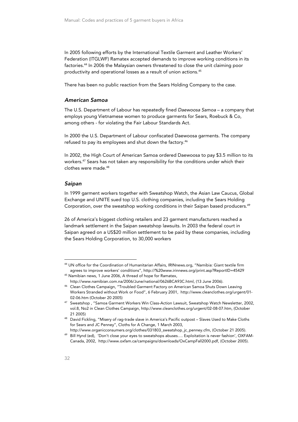In 2005 following efforts by the International Textile Garment and Leather Workers' Federation (ITGLWF) Ramatex accepted demands to improve working conditions in its factories.<sup>44</sup> In 2006 the Malaysian owners threatened to close the unit claiming poor productivity and operational losses as a result of union actions.45

There has been no public reaction from the Sears Holding Company to the case.

#### American Samoa

The U.S. Department of Labour has repeatedly fined Daewoosa Samoa – a company that employs young Vietnamese women to produce garments for Sears, Roebuck & Co, among others - for violating the Fair Labour Standards Act.

In 2000 the U.S. Department of Labour confiscated Daewoosa garments. The company refused to pay its employees and shut down the factory.<sup>46</sup>

In 2002, the High Court of American Samoa ordered Daewoosa to pay \$3.5 million to its workers.47 Sears has not taken any responsibility for the conditions under which their clothes were made.48

#### Saipan

In 1999 garment workers together with Sweatshop Watch, the Asian Law Caucus, Global Exchange and UNITE sued top U.S. clothing companies, including the Sears Holding Corporation, over the sweatshop working conditions in their Saipan based producers.49

26 of America's biggest clothing retailers and 23 garment manufacturers reached a landmark settlement in the Saipan sweatshop lawsuits. In 2003 the federal court in Saipan agreed on a US\$20 million settlement to be paid by these companies, including the Sears Holding Corporation, to 30,000 workers

<sup>44</sup> UN office for the Coordination of Humanitarian Affairs, IRINnews.org, "Namibia: Giant textile firm agrees to improve workers' conditions", http://%20www.irinnews.org/print.asp?ReportID=45429 45 Namibian news, 1 June 2006, A thread of hope for Ramatex,

http://www.namibian.com.na/2006/June/national/0626BCA93C.html, (13 June 2006). 46 Clean Clothes Campaign, "Troubled Garment Factory on American Samoa Shuts Down Leaving Workers Stranded without Work or Food", 6 February 2001, http://www.cleanclothes.org/urgent/01- 02-06.htm (October 20 2005)<br><sup>47</sup> Sweatshop , "Samoa Garment Workers Win Class-Action Lawsuit, Sweatshop Watch Newsletter, 2002,

vol.8, No2 in Clean Clothes Campaign, http://www.cleanclothes.org/urgent/02-08-07.htm, (October 21 2005) 48 David Fickling, "Misery of rag-trade slave in America's Pacific outpost – Slaves Used to Make Cloths

for Sears and JC Penney", Cloths for A Change, 1 March 2003,

http://www.organicconsumers.org/clothes/031803\_sweatshop\_jc\_penney.cfm, (October 21 2005). 49 Bill Hynd (ed), 'Don't close your eyes to sweatshops abuses…. Exploitation is never fashion', OXFAM-Canada, 2002, http://www.oxfam.ca/campaigns/downloads/OxCampFall2000.pdf, (October 2005).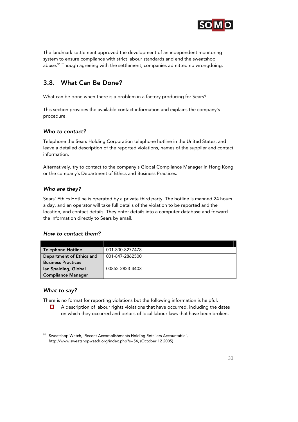

The landmark settlement approved the development of an independent monitoring system to ensure compliance with strict labour standards and end the sweatshop abuse.<sup>50</sup> Though agreeing with the settlement, companies admitted no wrongdoing.

## 3.8. What Can Be Done?

What can be done when there is a problem in a factory producing for Sears?

This section provides the available contact information and explains the company's procedure.

## Who to contact?

Telephone the Sears Holding Corporation telephone hotline in the United States, and leave a detailed description of the reported violations, names of the supplier and contact information.

Alternatively, try to contact to the company's Global Compliance Manager in Hong Kong or the company´s Department of Ethics and Business Practices.

## Who are they?

Sears' Ethics Hotline is operated by a private third party. The hotline is manned 24 hours a day, and an operator will take full details of the violation to be reported and the location, and contact details. They enter details into a computer database and forward the information directly to Sears by email.

## How to contact them?

| <b>Telephone Hotline</b>  | 001-800-8277478 |
|---------------------------|-----------------|
| Department of Ethics and  | 001-847-2862500 |
| <b>Business Practices</b> |                 |
| lan Spalding, Global      | 00852-2823-4403 |
| <b>Compliance Manager</b> |                 |

#### What to say?

-

There is no format for reporting violations but the following information is helpful.

 $\Box$  A description of labour rights violations that have occurred, including the dates on which they occurred and details of local labour laws that have been broken.

<sup>50</sup> Sweatshop Watch, 'Recent Accomplishments Holding Retailers Accountable', http://www.sweatshopwatch.org/index.php?s=54, (October 12 2005)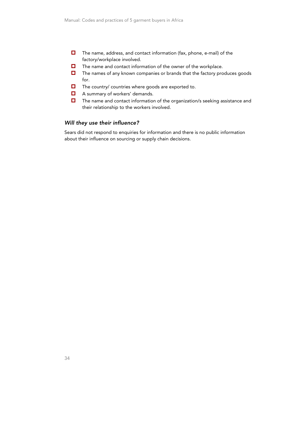- $\Box$  The name, address, and contact information (fax, phone, e-mail) of the factory/workplace involved.
- $\Box$  The name and contact information of the owner of the workplace.
- $\Box$  The names of any known companies or brands that the factory produces goods for.
- $\Box$  The country/ countries where goods are exported to.
- $\Box$  A summary of workers' demands.
- The name and contact information of the organization/s seeking assistance and their relationship to the workers involved.

#### Will they use their influence?

Sears did not respond to enquiries for information and there is no public information about their influence on sourcing or supply chain decisions.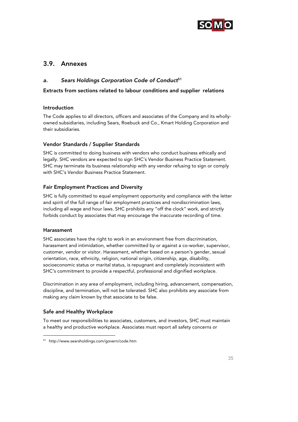

## 3.9. Annexes

## a. Sears Holdings Corporation Code of Conduct<sup>51</sup>

## Extracts from sections related to labour conditions and supplier relations

## Introduction

The Code applies to all directors, officers and associates of the Company and its whollyowned subsidiaries, including Sears, Roebuck and Co., Kmart Holding Corporation and their subsidiaries.

## Vendor Standards / Supplier Standards

SHC is committed to doing business with vendors who conduct business ethically and legally. SHC vendors are expected to sign SHC's Vendor Business Practice Statement. SHC may terminate its business relationship with any vendor refusing to sign or comply with SHC's Vendor Business Practice Statement.

## Fair Employment Practices and Diversity

SHC is fully committed to equal employment opportunity and compliance with the letter and spirit of the full range of fair employment practices and nondiscrimination laws, including all wage and hour laws. SHC prohibits any "off the clock" work, and strictly forbids conduct by associates that may encourage the inaccurate recording of time.

## Harassment

j

SHC associates have the right to work in an environment free from discrimination, harassment and intimidation, whether committed by or against a co-worker, supervisor, customer, vendor or visitor. Harassment, whether based on a person's gender, sexual orientation, race, ethnicity, religion, national origin, citizenship, age, disability, socioeconomic status or marital status, is repugnant and completely inconsistent with SHC's commitment to provide a respectful, professional and dignified workplace.

Discrimination in any area of employment, including hiring, advancement, compensation, discipline, and termination, will not be tolerated. SHC also prohibits any associate from making any claim known by that associate to be false.

## Safe and Healthy Workplace

To meet our responsibilities to associates, customers, and investors, SHC must maintain a healthy and productive workplace. Associates must report all safety concerns or

<sup>51</sup> http://www.searsholdings.com/govern/code.htm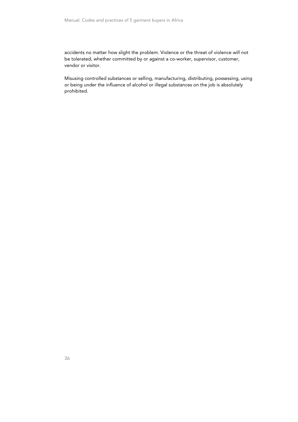accidents no matter how slight the problem. Violence or the threat of violence will not be tolerated, whether committed by or against a co-worker, supervisor, customer, vendor or visitor.

Misusing controlled substances or selling, manufacturing, distributing, possessing, using or being under the influence of alcohol or illegal substances on the job is absolutely prohibited.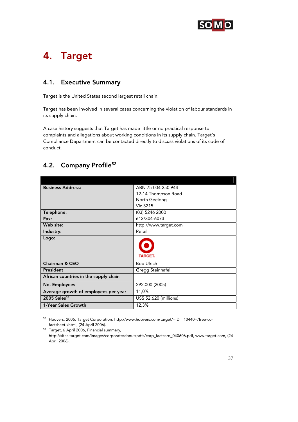

## 4. Target

## 4.1. Executive Summary

Target is the United States second largest retail chain.

Target has been involved in several cases concerning the violation of labour standards in its supply chain.

A case history suggests that Target has made little or no practical response to complaints and allegations about working conditions in its supply chain. Target's Compliance Department can be contacted directly to discuss violations of its code of conduct.

## 4.2. Company Profile<sup>52</sup>

-

| <b>Business Address:</b>              | ABN 75 004 250 944     |
|---------------------------------------|------------------------|
|                                       | 12-14 Thompson Road    |
|                                       | North Geelong          |
|                                       | Vic 3215               |
| Telephone:                            | (03) 5246 2000         |
| Fax:                                  | 612/304-6073           |
| Web site:                             | http://www.target.com  |
| Industry:                             | Retail                 |
| Logo:                                 | <b>TARGET.</b>         |
| Chairman & CEO                        | <b>Bob Ulrich</b>      |
| President                             | Gregg Steinhafel       |
| African countries in the supply chain |                        |
| No. Employees                         | 292,000 (2005)         |
| Average growth of employees per year  | 11,0%                  |
| $2005$ Sales $53$                     | US\$ 52,620 (millions) |
| 1-Year Sales Growth                   | 12,3%                  |

52 Hoovers, 2006, Target Corporation, http://www.hoovers.com/target/--ID\_\_10440--/free-co-

factsheet.xhtml, (24 April 2006). 53 Target, 6 April 2006, Financial summary, http://sites.target.com/images/corporate/about/pdfs/corp\_factcard\_040606.pdf, www.target.com, (24 April 2006).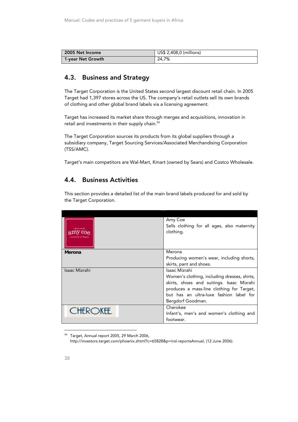| 2005 Net Income   | US\$ 2,408,0 (millions) |
|-------------------|-------------------------|
| 1-year Net Growth | 24.7%                   |

## 4.3. Business and Strategy

The Target Corporation is the United States second largest discount retail chain. In 2005 Target had 1,397 stores across the US. The company's retail outlets sell its own brands of clothing and other global brand labels via a licensing agreement.

Target has increased its market share through merges and acquisitions, innovation in retail and investments in their supply chain.<sup>54</sup>

The Target Corporation sources its products from its global suppliers through a subsidiary company, Target Sourcing Services/Associated Merchandising Corporation (TSS/AMC).

Target's main competitors are Wal-Mart, Kmart (owned by Sears) and Costco Wholesale.

## 4.4. Business Activities

This section provides a detailed list of the main brand labels produced for and sold by the Target Corporation.

|                 | Amy Coe                                      |
|-----------------|----------------------------------------------|
|                 | Sells clothing for all ages, also maternity  |
|                 | clothing.                                    |
|                 |                                              |
|                 |                                              |
| Merona          | Merona                                       |
|                 | Producing women's wear, including shorts,    |
|                 | skirts, pant and shoes.                      |
| Isaac Mizrahi   | Isaac Mizrahi                                |
|                 | Women's clothing, including dresses, shirts, |
|                 | skirts, shoes and suitings. Isaac Mizrahi    |
|                 | produces a mass-line clothing for Target,    |
|                 | but has an ultra-luxe fashion label for      |
|                 | Bergdorf Goodman.                            |
| <b>CHEROKEE</b> | Cherokee                                     |
|                 | Infant's, men's and women's clothing and     |
|                 | footwear.                                    |

<sup>54</sup> Target, Annual report 2005, 29 March 2006, http://investors.target.com/phoenix.zhtml?c=65828&p=irol-reportsAnnual, (12 June 2006).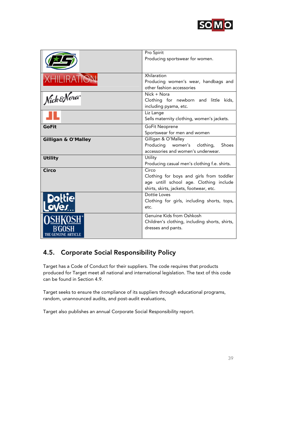

|                                | Pro Spirit<br>Producing sportswear for women.                                                                                           |
|--------------------------------|-----------------------------------------------------------------------------------------------------------------------------------------|
|                                |                                                                                                                                         |
| <b>XHILIRATION</b>             | Xhilaration<br>Producing women's wear, handbags and<br>other fashion accessories                                                        |
| Nick&Nora                      | $Nick + Nora$<br>Clothing for newborn and little kids,<br>including pyama, etc.                                                         |
|                                | Liz Lange<br>Sells maternity clothing, women's jackets.                                                                                 |
| <b>GoFit</b>                   | GoFit Neoprene<br>Sportswear for men and women                                                                                          |
| <b>Gilligan &amp; O'Malley</b> | Gilligan & O'Malley<br>Producing women's<br>Shoes<br>clothing,<br>accessories and women's underwear.                                    |
| <b>Utility</b>                 | Utility<br>Producing casual men's clothing f.e. shirts.                                                                                 |
| Circo                          | Circo<br>Clothing for boys and girls from toddler<br>age untill school age. Clothing include<br>shirts, skirts, jackets, footwear, etc. |
|                                | Dottie Loves<br>Clothing for girls, including shorts, tops,<br>etc.                                                                     |
| THE GE                         | Genuine Kids from Oshkosh<br>Children's clothing, including shorts, shirts,<br>dresses and pants.                                       |

## 4.5. Corporate Social Responsibility Policy

Target has a Code of Conduct for their suppliers. The code requires that products produced for Target meet all national and international legislation. The text of this code can be found in Section 4.9.

Target seeks to ensure the compliance of its suppliers through educational programs, random, unannounced audits, and post-audit evaluations,

Target also publishes an annual Corporate Social Responsibility report.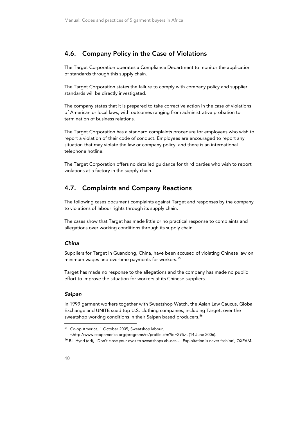## 4.6. Company Policy in the Case of Violations

The Target Corporation operates a Compliance Department to monitor the application of standards through this supply chain.

The Target Corporation states the failure to comply with company policy and supplier standards will be directly investigated.

The company states that it is prepared to take corrective action in the case of violations of American or local laws, with outcomes ranging from administrative probation to termination of business relations.

The Target Corporation has a standard complaints procedure for employees who wish to report a violation of their code of conduct. Employees are encouraged to report any situation that may violate the law or company policy, and there is an international telephone hotline.

The Target Corporation offers no detailed guidance for third parties who wish to report violations at a factory in the supply chain.

## 4.7. Complaints and Company Reactions

The following cases document complaints against Target and responses by the company to violations of labour rights through its supply chain.

The cases show that Target has made little or no practical response to complaints and allegations over working conditions through its supply chain.

## China

Suppliers for Target in Guandong, China, have been accused of violating Chinese law on minimum wages and overtime payments for workers.<sup>55</sup>

Target has made no response to the allegations and the company has made no public effort to improve the situation for workers at its Chinese suppliers.

#### Saipan

In 1999 garment workers together with Sweatshop Watch, the Asian Law Caucus, Global Exchange and UNITE sued top U.S. clothing companies, including Target, over the sweatshop working conditions in their Saipan based producers.<sup>56</sup>

<http://www.coopamerica.org/programs/rs/profile.cfm?id=295>, (14 June 2006).

j

<sup>55</sup> Co-op America, 1 October 2005, Sweatshop labour,

<sup>56</sup> Bill Hynd (ed), 'Don't close your eyes to sweatshops abuses…. Exploitation is never fashion', OXFAM-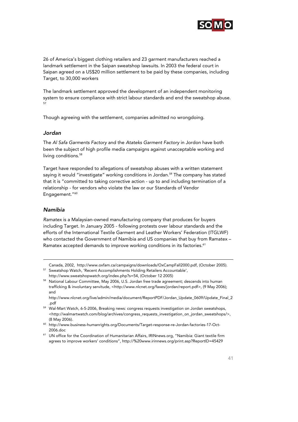

26 of America's biggest clothing retailers and 23 garment manufacturers reached a landmark settlement in the Saipan sweatshop lawsuits. In 2003 the federal court in Saipan agreed on a US\$20 million settlement to be paid by these companies, including Target, to 30,000 workers

The landmark settlement approved the development of an independent monitoring system to ensure compliance with strict labour standards and end the sweatshop abuse.

Though agreeing with the settlement, companies admitted no wrongdoing.

#### Jordan

The Al Safa Garments Factory and the Atateks Garment Factory in Jordon have both been the subject of high profile media campaigns against unacceptable working and living conditions.<sup>58</sup>

Target have responded to allegations of sweatshop abuses with a written statement saying it would "investigate" working conditions in Jordan.<sup>59</sup> The company has stated that it is "committed to taking corrective action - up to and including termination of a relationship - for vendors who violate the law or our Standards of Vendor Engagement."<sup>60</sup>

#### Namibia

-

Ramatex is a Malaysian-owned manufacturing company that produces for buyers including Target. In January 2005 - following protests over labour standards and the efforts of the International Textile Garment and Leather Workers' Federation (ITGLWF) who contacted the Government of Namibia and US companies that buy from Ramatex – Ramatex accepted demands to improve working conditions in its factories.<sup>61</sup>

Canada, 2002, http://www.oxfam.ca/campaigns/downloads/OxCampFall2000.pdf, (October 2005). 57 Sweatshop Watch, 'Recent Accomplishments Holding Retailers Accountable',

http://www.sweatshopwatch.org/index.php?s=54, (October 12 2005) 58 National Labour Committee, May 2006, U.S. Jordan free trade agreement; descends into human trafficking & involuntary servitude, <http://www.nlcnet.org/faxes/jordan/report.pdf>, (9 May 2006); and

http://www.nlcnet.org/live/admin/media/document/ReportPDF/Jordan\_Update\_0609/Update\_Final\_2

<sup>.</sup>pdf 59 Wal-Mart Watch, 6-5-2006, Breaking news: congress requests investigation on Jordan sweatshops, <http://walmartwatch.com/blog/archives/congress\_requests\_investigation\_on\_jordan\_sweatshops/>, (8 May 2006). 60 http://www.business-humanrights.org/Documents/Target-response-re-Jordan-factories-17-Oct-

<sup>2006.</sup>doc 61 UN office for the Coordination of Humanitarian Affairs, IRINnews.org, "Namibia: Giant textile firm agrees to improve workers' conditions", http://%20www.irinnews.org/print.asp?ReportID=45429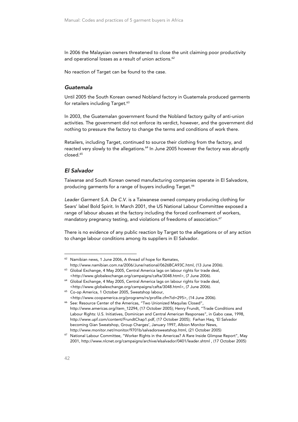In 2006 the Malaysian owners threatened to close the unit claiming poor productivity and operational losses as a result of union actions.<sup>62</sup>

No reaction of Target can be found to the case.

#### Guatemala

Until 2005 the South Korean owned Nobland factory in Guatemala produced garments for retailers including Target.<sup>63</sup>

In 2003, the Guatemalan government found the Nobland factory guilty of anti-union activities. The government did not enforce its verdict, however, and the government did nothing to pressure the factory to change the terms and conditions of work there.

Retailers, including Target, continued to source their clothing from the factory, and reacted very slowly to the allegations.<sup>64</sup> In June 2005 however the factory was abruptly closed.<sup>65</sup>

#### El Salvador

Taiwanse and South Korean owned manufacturing companies operate in El Salvadore, producing garments for a range of buyers including Target.<sup>66</sup>

Leader Garment S.A. De C.V. is a Taiwanese owned company producing clothing for Sears' label Bold Spirit. In March 2001, the US National Labour Committee exposed a range of labour abuses at the factory including the forced confinement of workers, mandatory pregnancy testing, and violations of freedoms of association.<sup>67</sup>

There is no evidence of any public reaction by Target to the allegations or of any action to change labour conditions among its suppliers in El Salvador.

<sup>&</sup>lt;sup>62</sup> Namibian news, 1 June 2006, A thread of hope for Ramatex, http://www.namibian.com.na/2006/June/national/0626BCA93C.html, (13 June 2006). 63 Global Exchange, 4 May 2005, Central America lags on labour rights for trade deal,

<sup>&</sup>lt;http://www.globalexchange.org/campaigns/cafta/3048.html>, (7 June 2006). 64 Global Exchange, 4 May 2005, Central America lags on labour rights for trade deal,

<sup>&</sup>lt;http://www.globalexchange.org/campaigns/cafta/3048.html>, (7 June 2006). 65 Co-op America, 1 October 2005, Sweatshop labour,

<sup>&</sup>lt;http://www.coopamerica.org/programs/rs/profile.cfm?id=295>, (14 June 2006). 66 See: Resource Center of the Americas, "Two Unionized Maquilas Closed", http://www.americas.org/item\_12294, (17 October 2005); Henry Frundt, "Trade Conditions and Labour Rights: U.S. Initiatives, Dominican and Central American Responses", in Gabo case, 1998, http://www.upf.com/content/FrundtChap1.pdf, (17 October 2005); Farhan Haq, 'El Salvador becoming Gian Sweatshop, Group Charges', January 1997, Albion Monitor News,

http://www.monitor.net/monitor/9701b/salvadorsweatshop.html, (21 October 2005)<br>National Labour Committee, "Worker Rights in the Americas? A Rare Inside Glimpse Report", May 2001, http://www.nlcnet.org/campaigns/archive/elsalvador/0401/leader.shtml , (17 October 2005)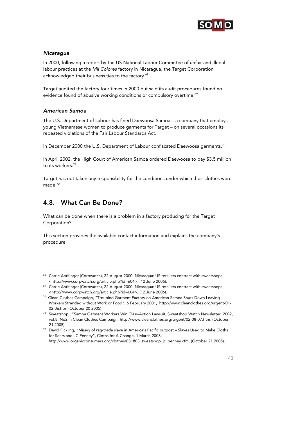

## **Nicaragua**

In 2000, following a report by the US National Labour Committee of unfair and illegal labour practices at the Mil Colores factory in Nicaragua, the Target Corporation acknowledged their business ties to the factory.<sup>68</sup>

Target audited the factory four times in 2000 but said its audit procedures found no evidence found of abusive working conditions or compulsory overtime.<sup>69</sup>

## American Samoa

The U.S. Department of Labour has fined Daewoosa Samoa – a company that employs young Vietnamese women to produce garments for Target – on several occasions its repeated violations of the Fair Labour Standards Act.

In December 2000 the U.S. Department of Labour confiscated Daewoosa garments.<sup>70</sup>

In April 2002, the High Court of American Samoa ordered Daewoosa to pay \$3.5 million to its workers.<sup>71</sup>

Target has not taken any responsibility for the conditions under which their clothes were made.<sup>72</sup>

## 4.8. What Can Be Done?

-

What can be done when there is a problem in a factory producing for the Target Corporation?

This section provides the available contact information and explains the company's procedure.

<sup>&</sup>lt;sup>68</sup> Carrie Antlfinger (Corpwatch), 22 August 2000, Nicaragua: US retailers contract with sweatshops, <http://www.corpwatch.org/article.php?id=604>, (12 June 2006). 69 Carrie Antlfinger (Corpwatch), 22 August 2000, Nicaragua: US retailers contract with sweatshops,

 $\n$  <http://www.corpwatch.org/article.php?id=604>, (12 June 2006).<br><sup>70</sup> Clean Clothes Campaign, "Troubled Garment Factory on American Samoa Shuts Down Leaving Workers Stranded without Work or Food", 6 February 2001, http://www.cleanclothes.org/urgent/01-

<sup>02-06.</sup>htm (October 20 2005)<br><sup>71</sup> Sweatshop , "Samoa Garment Workers Win Class-Action Lawsuit, Sweatshop Watch Newsletter, 2002, vol.8, No2 in Clean Clothes Campaign, http://www.cleanclothes.org/urgent/02-08-07.htm, (October

<sup>21 2005)&</sup>lt;br><sup>72</sup> David Fickling, "Misery of rag-trade slave in America's Pacific outpost – Slaves Used to Make Cloths for Sears and JC Penney", Cloths for A Change, 1 March 2003,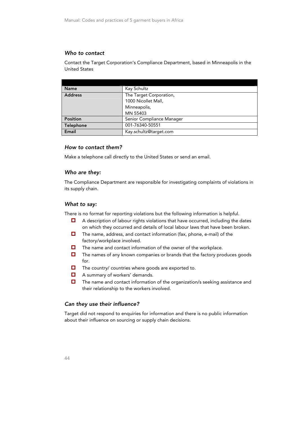## Who to contact

Contact the Target Corporation's Compliance Department, based in Minneapolis in the United States

| <b>Name</b>    | Kay Schultz               |
|----------------|---------------------------|
| <b>Address</b> | The Target Corporation,   |
|                | 1000 Nicollet Mall,       |
|                | Minneapolis,              |
|                | MN 55403                  |
| Position       | Senior Compliance Manager |
| Telephone      | 001-76340-50551           |
| Email          | Kay.schultz@target.com    |

#### How to contact them?

Make a telephone call directly to the United States or send an email.

#### Who are they:

The Compliance Department are responsible for investigating complaints of violations in its supply chain.

#### What to say:

There is no format for reporting violations but the following information is helpful.

- A description of labour rights violations that have occurred, including the dates on which they occurred and details of local labour laws that have been broken.
- $\Box$  The name, address, and contact information (fax, phone, e-mail) of the factory/workplace involved.
- $\Box$  The name and contact information of the owner of the workplace.
- $\Box$  The names of any known companies or brands that the factory produces goods for.
- $\Box$  The country/ countries where goods are exported to.
- A summary of workers' demands.
- The name and contact information of the organization/s seeking assistance and their relationship to the workers involved.

#### Can they use their influence?

Target did not respond to enquiries for information and there is no public information about their influence on sourcing or supply chain decisions.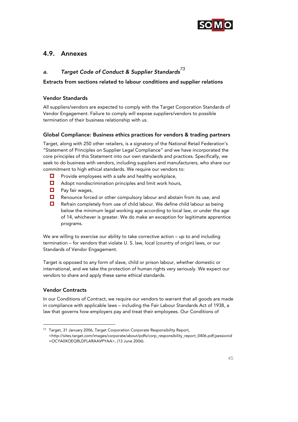

## 4.9. Annexes

## a. Target Code of Conduct & Supplier Standards*<sup>73</sup>*

## Extracts from sections related to labour conditions and supplier relations

## Vendor Standards

All suppliers/vendors are expected to comply with the Target Corporation Standards of Vendor Engagement. Failure to comply will expose suppliers/vendors to possible termination of their business relationship with us.

## Global Compliance: Business ethics practices for vendors & trading partners

Target, along with 250 other retailers, is a signatory of the National Retail Federation's "Statement of Principles on Supplier Legal Compliance" and we have incorporated the core principles of this Statement into our own standards and practices. Specifically, we seek to do business with vendors, including suppliers and manufacturers, who share our commitment to high ethical standards. We require our vendors to:

- $\Box$  Provide employees with a safe and healthy workplace,
- $\Box$  Adopt nondiscrimination principles and limit work hours,
- $\Box$  Pay fair wages,
- Renounce forced or other compulsory labour and abstain from its use, and
- Refrain completely from use of child labour. We define child labour as being below the minimum legal working age according to local law, or under the age of 14, whichever is greater. We do make an exception for legitimate apprentice programs.

We are willing to exercise our ability to take corrective action – up to and including termination – for vendors that violate U. S. law, local (country of origin) laws, or our Standards of Vendor Engagement.

Target is opposed to any form of slave, child or prison labour, whether domestic or international, and we take the protection of human rights very seriously. We expect our vendors to share and apply these same ethical standards.

## Vendor Contracts

-

In our Conditions of Contract, we require our vendors to warrant that all goods are made in compliance with applicable laws – including the Fair Labour Standards Act of 1938, a law that governs how employers pay and treat their employees. Our Conditions of

<sup>&</sup>lt;sup>73</sup> Target, 31 January 2006, Target Corporation Corporate Responsibility Report,

<sup>&</sup>lt;http://sites.target.com/images/corporate/about/pdfs/corp\_responsibility\_report\_0406.pdf;jsessionid =OCYA0XOEQRLDFLARAAVPYAA>, (13 June 2006).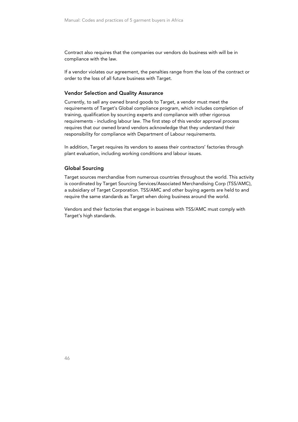Contract also requires that the companies our vendors do business with will be in compliance with the law.

If a vendor violates our agreement, the penalties range from the loss of the contract or order to the loss of all future business with Target.

#### Vendor Selection and Quality Assurance

Currently, to sell any owned brand goods to Target, a vendor must meet the requirements of Target's Global compliance program, which includes completion of training, qualification by sourcing experts and compliance with other rigorous requirements - including labour law. The first step of this vendor approval process requires that our owned brand vendors acknowledge that they understand their responsibility for compliance with Department of Labour requirements.

In addition, Target requires its vendors to assess their contractors' factories through plant evaluation, including working conditions and labour issues.

#### Global Sourcing

Target sources merchandise from numerous countries throughout the world. This activity is coordinated by Target Sourcing Services/Associated Merchandising Corp (TSS/AMC), a subsidiary of Target Corporation. TSS/AMC and other buying agents are held to and require the same standards as Target when doing business around the world.

Vendors and their factories that engage in business with TSS/AMC must comply with Target's high standards.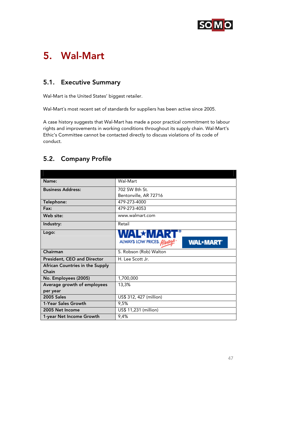

## 5. Wal-Mart

## 5.1. Executive Summary

Wal-Mart is the United States' biggest retailer.

Wal-Mart´s most recent set of standards for suppliers has been active since 2005.

A case history suggests that Wal-Mart has made a poor practical commitment to labour rights and improvements in working conditions throughout its supply chain. Wal-Mart's Ethic's Committee cannot be contacted directly to discuss violations of its code of conduct.

## 5.2. Company Profile

| Name:                                  | Wal-Mart                                    |  |
|----------------------------------------|---------------------------------------------|--|
| <b>Business Address:</b>               | 702 SW 8th St.                              |  |
|                                        | Bentonville, AR 72716                       |  |
| Telephone:                             | 479-273-4000                                |  |
| Fax:                                   | 479-273-4053                                |  |
| Web site:                              | www.walmart.com                             |  |
| Industry:                              | Retail                                      |  |
| Logo:                                  |                                             |  |
|                                        | ALWAYS LOW PRICES. Alway<br><b>WAL*MART</b> |  |
| Chairman                               | S. Robson (Rob) Walton                      |  |
| President, CEO and Director            | H. Lee Scott Jr.                            |  |
| <b>African Countries in the Supply</b> |                                             |  |
| Chain                                  |                                             |  |
| No. Employees (2005)                   | 1,700,000                                   |  |
| Average growth of employees            | 13,3%                                       |  |
| per year                               |                                             |  |
| <b>2005 Sales</b>                      | US\$ 312, 427 (million)                     |  |
|                                        |                                             |  |
| 1-Year Sales Growth                    | 9,5%                                        |  |
| 2005 Net Income                        | US\$ 11,231 (million)                       |  |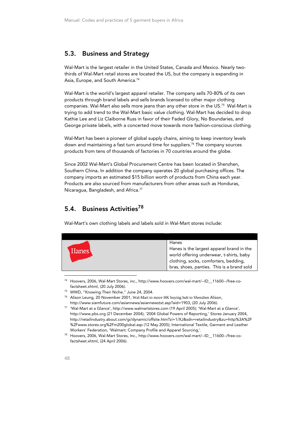## 5.3. Business and Strategy

Wal-Mart is the largest retailer in the United States, Canada and Mexico. Nearly twothirds of Wal-Mart retail stores are located the US, but the company is expanding in Asia, Europe, and South America.<sup>74</sup>

Wal-Mart is the world's largest apparel retailer. The company sells 70-80% of its own products through brand labels and sells brands licensed to other major clothing companies. Wal-Mart also sells more jeans than any other store in the US.75 Wal-Mart is trying to add trend to the Wal-Mart basic value clothing. Wal-Mart has decided to drop Kathie Lee and Liz Claiborne Russ in favor of their Faded Glory, No Boundaries, and George private labels, with a concerted move towards more fashion-conscious clothing.

Wal-Mart has been a pioneer of global supply chains, aiming to keep inventory levels down and maintaining a fast turn around time for suppliers.<sup>76</sup> The company sources products from tens of thousands of factories in 70 countries around the globe.

Since 2002 Wal-Mart's Global Procurement Centre has been located in Shenzhen, Southern China. In addition the company operates 20 global purchasing offices. The company imports an estimated \$15 billion worth of products from China each year. Products are also sourced from manufacturers from other areas such as Honduras, Nicaragua, Bangladesh, and Africa.<sup>77</sup>

## 5.4. Business Activities<sup>78</sup>

Wal-Mart's own clothing labels and labels sold in Wal-Mart stores include:

|  | Hanes | Hanes<br>Hanes is the largest apparel brand in the<br>world offering underwear, t-shirts, baby<br>clothing, socks, comforters, bedding,<br>bras, shoes, panties. This is a brand sold |
|--|-------|---------------------------------------------------------------------------------------------------------------------------------------------------------------------------------------|
|--|-------|---------------------------------------------------------------------------------------------------------------------------------------------------------------------------------------|

74 Hoovers, 2006, Wal-Mart Stores, inc., http://www.hoovers.com/wal-mart/--ID\_\_11600--/free-co-

factsheet.xhtml, (20 July 2006). 75 WWD, "Knowing Their Niche," June 24, 2004.

<sup>76</sup> Alison Leung, 20 November 2001, Wal-Mart to move HK buying hub to Shenzhen Alison,

http://www.siamfuture.com/asiannews/asiannewstxt.asp?aid=1903, (20 July 2006). 77 'Wal-Mart at a Glance', http://www.walmartstores.com (19 April 2005); 'Wal-Mart at a Glance',

http://www.pbs.org (21 December 2004); '2004 Global Powers of Reporting,' Stores January 2004, http://retailindustry.about.com/gi/dynamic/offsite.htm?zi=1/XJ&sdn=retailindustry&zu=http%3A%2F %2Fwww.stores.org%2Fm200global.asp (12 May 2005); International Textile, Garment and Leather

Workers' Federation, 'Walmart: Company Profile and Apparel Sourcing,'.<br><sup>78</sup> Hoovers, 2006, Wal-Mart Stores, Inc., http://www.hoovers.com/wal-mart/--ID\_\_11600--/free-cofactsheet.xhtml, (24 April 2006).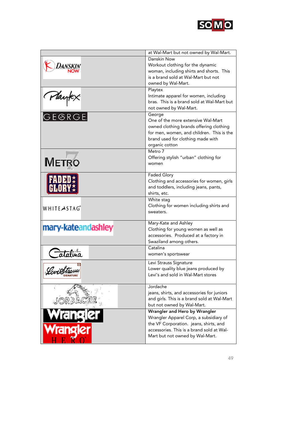

|                    | at Wal-Mart but not owned by Wal-Mart.      |
|--------------------|---------------------------------------------|
|                    | Danskin Now                                 |
| Danski             | Workout clothing for the dynamic            |
|                    | woman, including shirts and shorts. This    |
|                    | is a brand sold at Wal-Mart but not         |
|                    | owned by Wal-Mart.                          |
|                    | Playtex                                     |
|                    | Intimate apparel for women, including       |
|                    | bras. This is a brand sold at Wal-Mart but  |
|                    | not owned by Wal-Mart.                      |
| Playtex<br>GEGRGE  | George                                      |
|                    | One of the more extensive Wal-Mart          |
|                    | owned clothing brands offering clothing     |
|                    | for men, women, and children. This is the   |
|                    | brand used for clothing made with           |
|                    | organic cotton                              |
|                    | Metro 7                                     |
| <b>METRO</b>       | Offering stylish "urban" clothing for       |
|                    | women                                       |
|                    | <b>Faded Glory</b>                          |
|                    | Clothing and accessories for women, girls   |
|                    | and toddlers, including jeans, pants,       |
|                    | shirts, etc.                                |
|                    | White stag                                  |
|                    | Clothing for women including shirts and     |
| WHITEASTAG         | sweaters.                                   |
|                    |                                             |
|                    | Mary-Kate and Ashley                        |
| mary-kateandashley | Clothing for young women as well as         |
|                    | accessories. Produced at a factory in       |
|                    | Swaziland among others.                     |
|                    | Catalina                                    |
| Catalina           | women's sportswear                          |
|                    | Levi Strauss Signature                      |
|                    | Lower quality blue jeans produced by        |
| <b>SIGNATURE</b>   | Levi's and sold in Wal-Mart stores          |
|                    |                                             |
|                    | Jordache                                    |
|                    | jeans, shirts, and accessories for juniors  |
|                    | and girls. This is a brand sold at Wal-Mart |
|                    | but not owned by Wal-Mart.                  |
|                    | Wrangler and Hero by Wrangler               |
|                    | Wrangler Apparel Corp, a subsidiary of      |
|                    | the VF Corporation. jeans, shirts, and      |
|                    | accessories. This is a brand sold at Wal-   |
|                    | Mart but not owned by Wal-Mart.             |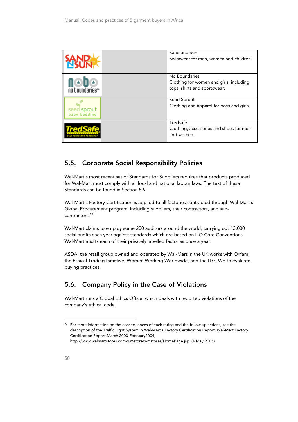|                             | Sand and Sun<br>Swimwear for men, women and children.                                    |
|-----------------------------|------------------------------------------------------------------------------------------|
| no boundariesth             | No Boundaries<br>Clothing for women and girls, including<br>tops, shirts and sportswear. |
| seed sprout<br>baby bedding | Seed Sprout<br>Clothing and apparel for boys and girls                                   |
|                             | Tredsafe<br>Clothing, accessories and shoes for men<br>and women.                        |

## 5.5. Corporate Social Responsibility Policies

Wal-Mart's most recent set of Standards for Suppliers requires that products produced for Wal-Mart must comply with all local and national labour laws. The text of these Standards can be found in Section 5.9.

Wal-Mart's Factory Certification is applied to all factories contracted through Wal-Mart's Global Procurement program; including suppliers, their contractors, and subcontractors.79

Wal-Mart claims to employ some 200 auditors around the world, carrying out 13,000 social audits each year against standards which are based on ILO Core Conventions. Wal-Mart audits each of their privately labelled factories once a year.

ASDA, the retail group owned and operated by Wal-Mart in the UK works with Oxfam, the Ethical Trading Initiative, Women Working Worldwide, and the ITGLWF to evaluate buying practices.

## 5.6. Company Policy in the Case of Violations

Wal-Mart runs a Global Ethics Office, which deals with reported violations of the company's ethical code.

 $79$  For more information on the consequences of each rating and the follow up actions, see the description of the Traffic Light System in Wal-Mart's Factory Certification Report. Wal-Mart Factory Certification Report March 2003-February2004, http://www.walmartstores.com/wmstore/wmstores/HomePage.jsp (4 May 2005).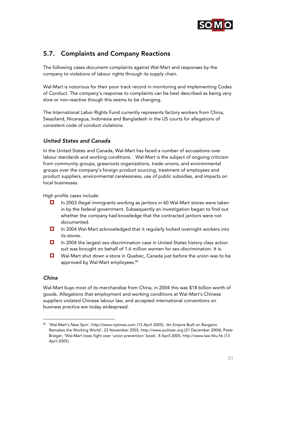

## 5.7. Complaints and Company Reactions

The following cases document complaints against Wal-Mart and responses by the company to violations of labour rights through its supply chain.

Wal-Mart is notorious for their poor track record in monitoring and implementing Codes of Conduct. The company's response to complaints can be best described as being very slow or non-reactive though this seems to be changing.

The International Labor Rights Fund currently represents factory workers from China, Swaziland, Nicaragua, Indonesia and Bangladesh in the US courts for allegations of consistent code of conduct violations.

## United States and Canada

In the United States and Canada, Wal-Mart has faced a number of accusations over labour standards and working conditions. . Wal-Mart is the subject of ongoing criticism from community groups, grassroots organizations, trade unions, and environmental groups over the company's foreign product sourcing, treatment of employees and product suppliers, environmental carelessness, use of public subsidies, and impacts on local businesses.

High profile cases include:

- In 2003 illegal immigrants working as janitors in 60 Wal-Mart stores were taken in by the federal government. Subsequently an investigation began to find out whether the company had knowledge that the contracted janitors were not documented.
- In 2004 Wal-Mart acknowledged that it regularly locked overnight workers into its stores.
- In 2004 the largest sex-discrimination case in United States history class action suit was brought on behalf of 1.6 million women for sex-discrimination. It is.
- Wal-Mart shut down a store in Quebec, Canada just before the union was to be approved by Wal-Mart employees.<sup>80</sup>

## China

-

Wal-Mart buys most of its merchandise from China, in 2004 this was \$18 billion worth of goods. Allegations that employment and working conditions at Wal-Mart's Chinese suppliers violated Chinese labour law, and accepted international conventions on business practice are today widespread.

<sup>80 &#</sup>x27;Wal-Mart's New Spin', http://www.nytimes.com (13 April 2005); 'An Empire Built on Bargains Remakes the Working World', 23 November 2003, http://www.pulitzer.org (21 December 2004); Peter Brieger, 'Wal-Mart loses fight over 'union prevention' book', 8 April 2005, http://www.law.hku.hk (13 April 2005).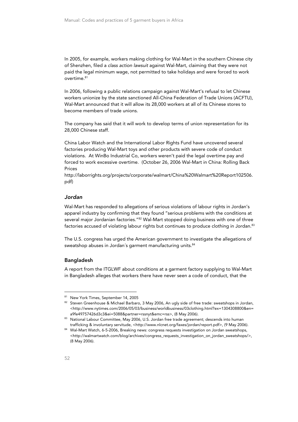In 2005, for example, workers making clothing for Wal-Mart in the southern Chinese city of Shenzhen, filed a class action lawsuit against Wal-Mart, claiming that they were not paid the legal minimum wage, not permitted to take holidays and were forced to work overtime.<sup>81</sup>

In 2006, following a public relations campaign against Wal-Mart's refusal to let Chinese workers unionize by the state sanctioned All-China Federation of Trade Unions (ACFTU), Wal-Mart announced that it will allow its 28,000 workers at all of its Chinese stores to become members of trade unions.

The company has said that it will work to develop terms of union representation for its 28,000 Chinese staff.

China Labor Watch and the International Labor Rights Fund have uncovered several factories producing Wal-Mart toys and other products with severe code of conduct violations. At WinBo Industrial Co, workers weren't paid the legal overtime pay and forced to work excessive overtime. (October 26, 2006 Wal-Mart in China: Rolling Back Prices

http://laborrights.org/projects/corporate/walmart/China%20Walmart%20Report102506. pdf)

#### Jordan

Wal-Mart has responded to allegations of serious violations of labour rights in Jordan's apparel industry by confirming that they found "serious problems with the conditions at several major Jordanian factories."<sup>82</sup> Wal-Mart stopped doing business with one of three factories accused of violating labour rights but continues to produce clothing in Jordan.<sup>83</sup>

The U.S. congress has urged the American government to investigate the allegations of sweatshop abuses in Jordan's garment manufacturing units.<sup>84</sup>

#### Bangladesh

A report from the ITGLWF about conditions at a garment factory supplying to Wal-Mart in Bangladesh alleges that workers there have never seen a code of conduct, that the

j

<sup>81</sup> New York Times, September 14, 2005

<sup>82</sup> Steven Greenhouse & Michael Barbaro, 3 May 2006, An ugly side of free trade: sweatshops in Jordan, <http://www.nytimes.com/2006/05/03/business/worldbusiness/03clothing.html?ex=1304308800&en= a9fe49757426d3c3&ei=5088&partner=rssnyt&emc=rss>, (8 May 2006).<br><sup>83</sup> National Labour Committee, May 2006, U.S. Jordan free trade agreement; descends into human

trafficking & involuntary servitude, <http://www.nlcnet.org/faxes/jordan/report.pdf>, (9 May 2006). 84 Wal-Mart Watch, 6-5-2006, Breaking news: congress requests investigation on Jordan sweatshops,

<sup>&</sup>lt;http://walmartwatch.com/blog/archives/congress\_requests\_investigation\_on\_jordan\_sweatshops/>, (8 May 2006).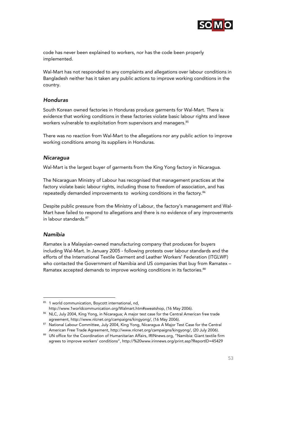

code has never been explained to workers, nor has the code been properly implemented.

Wal-Mart has not responded to any complaints and allegations over labour conditions in Bangladesh neither has it taken any public actions to improve working conditions in the country.

#### Honduras

South Korean owned factories in Honduras produce garments for Wal-Mart. There is evidence that working conditions in these factories violate basic labour rights and leave workers vulnerable to exploitation from supervisors and managers.<sup>85</sup>

There was no reaction from Wal-Mart to the allegations nor any public action to improve working conditions among its suppliers in Honduras.

#### **Nicaragua**

Wal-Mart is the largest buyer of garments from the King Yong factory in Nicaragua.

The Nicaraguan Ministry of Labour has recognised that management practices at the factory violate basic labour rights, including those to freedom of association, and has repeatedly demanded improvements to working conditions in the factory.<sup>86</sup>

Despite public pressure from the Ministry of Labour, the factory's management and Wal-Mart have failed to respond to allegations and there is no evidence of any improvements in labour standards.<sup>87</sup>

#### Namibia

j

Ramatex is a Malaysian-owned manufacturing company that produces for buyers including Wal-Mart. In January 2005 - following protests over labour standards and the efforts of the International Textile Garment and Leather Workers' Federation (ITGLWF) who contacted the Government of Namibia and US companies that buy from Ramatex -Ramatex accepted demands to improve working conditions in its factories.<sup>88</sup>

<sup>85 1</sup> world communication, Boycott international, nd,

http://www.1worldcommunication.org/Walmart.htm#sweatshop, (16 May 2006).<br><sup>86</sup> NLC, July 2004, King Yong, in Nicaragua; A major test case for the Central American free trade

agreement, http://www.nlcnet.org/campaigns/kingyong/, (16 May 2006).<br><sup>87</sup> National Labour Committee, July 2004, King Yong, Nicaragua A Major Test Case for the Central

American Free Trade Agreement, http://www.nlcnet.org/campaigns/kingyong/, (20 July 2006).<br><sup>88</sup> UN office for the Coordination of Humanitarian Affairs, IRINnews.org, "Namibia: Giant textile firm agrees to improve workers' conditions", http://%20www.irinnews.org/print.asp?ReportID=45429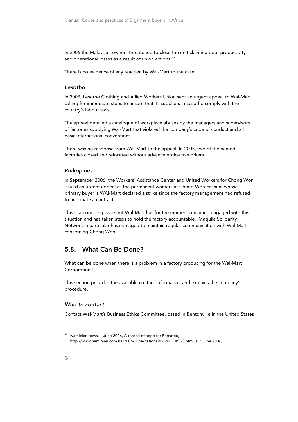In 2006 the Malaysian owners threatened to close the unit claiming poor productivity and operational losses as a result of union actions.<sup>89</sup>

There is no evidence of any reaction by Wal-Mart to the case.

#### Lesotho

In 2003, Lesotho Clothing and Allied Workers Union sent an urgent appeal to Wal-Mart calling for immediate steps to ensure that its suppliers in Lesotho comply with the country's labour laws.

The appeal detailed a catalogue of workplace abuses by the managers and supervisors of factories supplying Wal-Mart that violated the company's code of conduct and all basic international conventions.

There was no response from Wal-Mart to the appeal. In 2005, two of the named factories closed and relocated without advance notice to workers.

## **Philippines**

In September 2006, the Workers' Assistance Center and United Workers for Chong Won issued an urgent appeal as the permanent workers at Chong Won Fashion whose primary buyer is WAl-Mart declared a strike since the factory management had refused to negotiate a contract.

This is an ongoing issue but Wal-Mart has for the moment remained engaged with this situation and has taken steps to hold the factory accountable. Maquila Solidarity Network in particular has managed to maintain regular communication with Wal-Mart concerning Chong Won.

## 5.8. What Can Be Done?

What can be done when there is a problem in a factory producing for the Wal-Mart Corporation?

This section provides the available contact information and explains the company's procedure.

#### Who to contact

Contact Wal-Mart´s Business Ethics Committee, based in Bentonville in the United States

<sup>89</sup> Namibian news, 1 June 2006, A thread of hope for Ramatex, http://www.namibian.com.na/2006/June/national/0626BCA93C.html, (13 June 2006).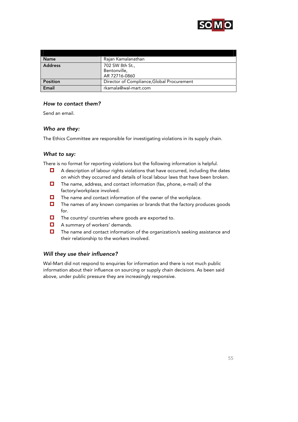

| <b>Name</b>     | Rajan Kamalanathan                         |
|-----------------|--------------------------------------------|
| <b>Address</b>  | 702 SW 8th St.,                            |
|                 | Bentonville,                               |
|                 | AR 72716-0860                              |
| <b>Position</b> | Director of Compliance, Global Procurement |
| Email           | rkamala@wal-mart.com                       |

## How to contact them?

Send an email.

## Who are they:

The Ethics Committee are responsible for investigating violations in its supply chain.

## What to say:

There is no format for reporting violations but the following information is helpful.

- A description of labour rights violations that have occurred, including the dates on which they occurred and details of local labour laws that have been broken.
- $\Box$  The name, address, and contact information (fax, phone, e-mail) of the factory/workplace involved.
- $\Box$  The name and contact information of the owner of the workplace.
- $\Box$  The names of any known companies or brands that the factory produces goods for.
- $\Box$  The country/ countries where goods are exported to.
- $\Box$  A summary of workers' demands.
- The name and contact information of the organization/s seeking assistance and their relationship to the workers involved.

## Will they use their influence?

Wal-Mart did not respond to enquiries for information and there is not much public information about their influence on sourcing or supply chain decisions. As been said above, under public pressure they are increasingly responsive.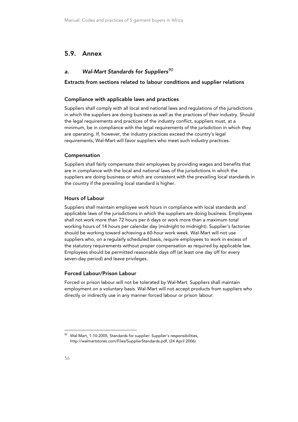## 5.9. Annex

## a. Wal-Mart Standards for Suppliers<sup>90</sup>

#### Extracts from sections related to labour conditions and supplier relations

#### Compliance with applicable laws and practices

Suppliers shall comply with all local and national laws and regulations of the jurisdictions in which the suppliers are doing business as well as the practices of their industry. Should the legal requirements and practices of the industry conflict, suppliers must, at a minimum, be in compliance with the legal requirements of the jurisdiction in which they are operating. If, however, the industry practices exceed the country's legal requirements, Wal-Mart will favor suppliers who meet such industry practices.

#### Compensation

Suppliers shall fairly compensate their employees by providing wages and benefits that are in compliance with the local and national laws of the jurisdictions in which the suppliers are doing business or which are consistent with the prevailing local standards in the country if the prevailing local standard is higher.

#### Hours of Labour

Suppliers shall maintain employee work hours in compliance with local standards and applicable laws of the jurisdictions in which the suppliers are doing business. Employees shall not work more than 72 hours per 6 days or work more than a maximum total working hours of 14 hours per calendar day (midnight to midnight). Supplier's factories should be working toward achieving a 60-hour work week. Wal-Mart will not use suppliers who, on a regularly scheduled basis, require employees to work in excess of the statutory requirements without proper compensation as required by applicable law. Employees should be permitted reasonable days off (at least one day off for every seven-day period) and leave privileges.

#### Forced Labour/Prison Labour

Forced or prison labour will not be tolerated by Wal-Mart. Suppliers shall maintain employment on a voluntary basis. Wal-Mart will not accept products from suppliers who directly or indirectly use in any manner forced labour or prison labour.

<sup>&</sup>lt;sup>90</sup> Wal-Mart, 1-10-2005, Standards for supplier: Supplier's responsibilities, http://walmartstores.com/Files/SupplierStandards.pdf, (24 April 2006).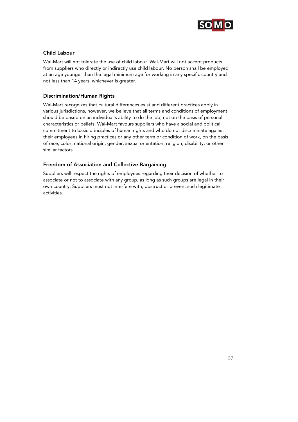

## Child Labour

Wal-Mart will not tolerate the use of child labour. Wal-Mart will not accept products from suppliers who directly or indirectly use child labour. No person shall be employed at an age younger than the legal minimum age for working in any specific country and not less than 14 years, whichever is greater.

## Discrimination/Human Rights

Wal-Mart recognizes that cultural differences exist and different practices apply in various jurisdictions, however, we believe that all terms and conditions of employment should be based on an individual's ability to do the job, not on the basis of personal characteristics or beliefs. Wal-Mart favours suppliers who have a social and political commitment to basic principles of human rights and who do not discriminate against their employees in hiring practices or any other term or condition of work, on the basis of race, color, national origin, gender, sexual orientation, religion, disability, or other similar factors.

## Freedom of Association and Collective Bargaining

Suppliers will respect the rights of employees regarding their decision of whether to associate or not to associate with any group, as long as such groups are legal in their own country. Suppliers must not interfere with, obstruct or prevent such legitimate activities.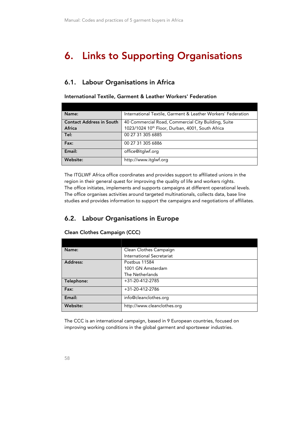## 6. Links to Supporting Organisations

## 6.1. Labour Organisations in Africa

International Textile, Garment & Leather Workers' Federation

| Name:                           | International Textile, Garment & Leather Workers' Federation |
|---------------------------------|--------------------------------------------------------------|
| <b>Contact Address in South</b> | 40 Commercial Road, Commercial City Building, Suite          |
| Africa                          | 1023/1024 10th Floor, Durban, 4001, South Africa             |
| Tel:                            | 00 27 31 305 6885                                            |
| Fax:                            | 00 27 31 305 6886                                            |
| Email:                          | office@itglwf.org                                            |
| Website:                        | http://www.itglwf.org                                        |

The ITGLWF Africa office coordinates and provides support to affiliated unions in the region in their general quest for improving the quality of life and workers rights. The office initiates, implements and supports campaigns at different operational levels. The office organises activities around targeted multinationals, collects data, base line studies and provides information to support the campaigns and negotiations of affiliates.

## 6.2. Labour Organisations in Europe

| Name:           | Clean Clothes Campaign      |
|-----------------|-----------------------------|
|                 | International Secretariat   |
| <b>Address:</b> | Postbus 11584               |
|                 | 1001 GN Amsterdam           |
|                 | The Netherlands             |
| Telephone:      | $+31-20-412-2785$           |
| Fax:            | +31-20-412-2786             |
| Email:          | info@cleanclothes.org       |
| <b>Website:</b> | http://www.cleanclothes.org |

Clean Clothes Campaign (CCC)

The CCC is an international campaign, based in 9 European countries, focused on improving working conditions in the global garment and sportswear industries.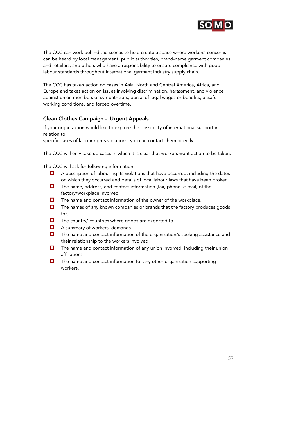

The CCC can work behind the scenes to help create a space where workers' concerns can be heard by local management, public authorities, brand-name garment companies and retailers, and others who have a responsibility to ensure compliance with good labour standards throughout international garment industry supply chain.

The CCC has taken action on cases in Asia, North and Central America, Africa, and Europe and takes action on issues involving discrimination, harassment, and violence against union members or sympathizers; denial of legal wages or benefits, unsafe working conditions, and forced overtime.

## Clean Clothes Campaign - Urgent Appeals

If your organization would like to explore the possibility of international support in relation to

specific cases of labour rights violations, you can contact them directly:

The CCC will only take up cases in which it is clear that workers want action to be taken.

The CCC will ask for following information:

- $\Box$  A description of labour rights violations that have occurred, including the dates on which they occurred and details of local labour laws that have been broken.
- $\Box$  The name, address, and contact information (fax, phone, e-mail) of the factory/workplace involved.
- $\Box$  The name and contact information of the owner of the workplace.
- $\Box$  The names of any known companies or brands that the factory produces goods for.
- $\Box$  The country/ countries where goods are exported to.
- **A** summary of workers' demands
- $\Box$  The name and contact information of the organization/s seeking assistance and their relationship to the workers involved.
- The name and contact information of any union involved, including their union affiliations
- $\Box$  The name and contact information for any other organization supporting workers.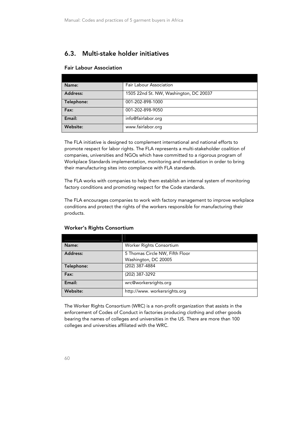## 6.3. Multi-stake holder initiatives

#### Fair Labour Association

| Name:      | <b>Fair Labour Association</b>         |
|------------|----------------------------------------|
| Address:   | 1505 22nd St. NW, Washington, DC 20037 |
| Telephone: | 001-202-898-1000                       |
| Fax:       | 001-202-898-9050                       |
| Email:     | info@fairlabor.org                     |
| Website:   | www.fairlabor.org                      |

The FLA initiative is designed to complement international and national efforts to promote respect for labor rights. The FLA represents a multi-stakeholder coalition of companies, universities and NGOs which have committed to a rigorous program of Workplace Standards implementation, monitoring and remediation in order to bring their manufacturing sites into compliance with FLA standards.

The FLA works with companies to help them establish an internal system of monitoring factory conditions and promoting respect for the Code standards.

The FLA encourages companies to work with factory management to improve workplace conditions and protect the rights of the workers responsible for manufacturing their products.

| Name:           | Worker Rights Consortium        |
|-----------------|---------------------------------|
| <b>Address:</b> | 5 Thomas Circle NW, Fifth Floor |
|                 | Washington, DC 20005            |
| Telephone:      | (202) 387-4884                  |
| Fax:            | (202) 387-3292                  |
| Email:          | wrc@workersrights.org           |
| Website:        | http://www.workersrights.org    |

#### Worker's Rights Consortium

The Worker Rights Consortium (WRC) is a non-profit organization that assists in the enforcement of Codes of Conduct in factories producing clothing and other goods bearing the names of colleges and universities in the US. There are more than 100 colleges and universities affiliated with the WRC.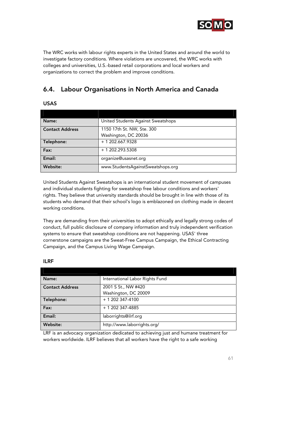

The WRC works with labour rights experts in the United States and around the world to investigate factory conditions. Where violations are uncovered, the WRC works with colleges and universities, U.S.-based retail corporations and local workers and organizations to correct the problem and improve conditions.

## 6.4. Labour Organisations in North America and Canada

## USAS

| Name:                  | United Students Against Sweatshops |
|------------------------|------------------------------------|
| <b>Contact Address</b> | 1150 17th St. NW, Ste. 300         |
|                        | Washington, DC 20036               |
| Telephone:             | $+ 1 202.667.9328$                 |
| Fax:                   | + 1 202.293.5308                   |
| Email:                 | organize@usasnet.org               |
| Website:               | www.StudentsAgainstSweatshops.org  |

United Students Against Sweatshops is an international student movement of campuses and individual students fighting for sweatshop free labour conditions and workers' rights. They believe that university standards should be brought in line with those of its students who demand that their school's logo is emblazoned on clothing made in decent working conditions.

They are demanding from their universities to adopt ethically and legally strong codes of conduct, full public disclosure of company information and truly independent verification systems to ensure that sweatshop conditions are not happening. USAS' three cornerstone campaigns are the Sweat-Free Campus Campaign, the Ethical Contracting Campaign, and the Campus Living Wage Campaign.

| Name:                  | International Labor Rights Fund |
|------------------------|---------------------------------|
| <b>Contact Address</b> | 2001 S St., NW #420             |
|                        | Washington, DC 20009            |
| Telephone:             | $+ 1202347 - 4100$              |
| Fax:                   | + 1 202 347-4885                |
| Email:                 | laborrights@ilrf.org            |
| Website:               | http://www.laborrights.org/     |

#### ILRF

LRF is an advocacy organization dedicated to achieving just and humane treatment for workers worldwide. ILRF believes that all workers have the right to a safe working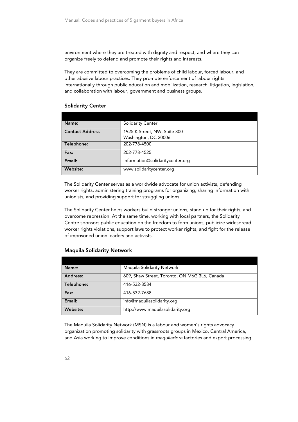environment where they are treated with dignity and respect, and where they can organize freely to defend and promote their rights and interests.

They are committed to overcoming the problems of child labour, forced labour, and other abusive labour practices. They promote enforcement of labour rights internationally through public education and mobilization, research, litigation, legislation, and collaboration with labour, government and business groups.

#### Solidarity Center

| Name:                  | <b>Solidarity Center</b>         |
|------------------------|----------------------------------|
| <b>Contact Address</b> | 1925 K Street, NW, Suite 300     |
|                        | Washington, DC 20006             |
| Telephone:             | 202-778-4500                     |
| Fax:                   | 202-778-4525                     |
| Email:                 | Information@solidaritycenter.org |
| Website:               | www.solidaritycenter.org         |

The Solidarity Center serves as a worldwide advocate for union activists, defending worker rights, administering training programs for organizing, sharing information with unionists, and providing support for struggling unions.

The Solidarity Center helps workers build stronger unions, stand up for their rights, and overcome repression. At the same time, working with local partners, the Solidarity Centre sponsors public education on the freedom to form unions, publicize widespread worker rights violations, support laws to protect worker rights, and fight for the release of imprisoned union leaders and activists.

| Name:      | Maguila Solidarity Network                    |
|------------|-----------------------------------------------|
| Address:   | 609, Shaw Street, Toronto, ON M6G 3L6, Canada |
| Telephone: | 416-532-8584                                  |
| Fax:       | 416-532-7688                                  |
| Email:     | info@maquilasolidarity.org                    |
| Website:   | http://www.maquilasolidarity.org              |

#### Maquila Solidarity Network

The Maquila Solidarity Network (MSN) is a labour and women's rights advocacy organization promoting solidarity with grassroots groups in Mexico, Central America, and Asia working to improve conditions in maquiladora factories and export processing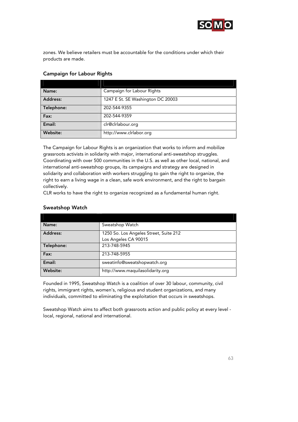

zones. We believe retailers must be accountable for the conditions under which their products are made.

## Campaign for Labour Rights

| Name:      | Campaign for Labour Rights        |
|------------|-----------------------------------|
| Address:   | 1247 E St. SE Washington DC 20003 |
| Telephone: | 202-544-9355                      |
| Fax:       | 202-544-9359                      |
| Email:     | clr@clrlabour.org                 |
| Website:   | http://www.clrlabor.org           |

The Campaign for Labour Rights is an organization that works to inform and mobilize grassroots activists in solidarity with major, international anti-sweatshop struggles. Coordinating with over 500 communities in the U.S. as well as other local, national, and international anti-sweatshop groups, its campaigns and strategy are designed in solidarity and collaboration with workers struggling to gain the right to organize, the right to earn a living wage in a clean, safe work environment, and the right to bargain collectively.

CLR works to have the right to organize recognized as a fundamental human right.

## Sweatshop Watch

| Name:      | Sweatshop Watch                        |
|------------|----------------------------------------|
| Address:   | 1250 So. Los Angeles Street, Suite 212 |
|            | Los Angeles CA 90015                   |
| Telephone: | 213-748-5945                           |
| Fax:       | 213-748-5955                           |
| Email:     | sweatinfo@sweatshopwatch.org           |
| Website:   | http://www.maquilasolidarity.org       |

Founded in 1995, Sweatshop Watch is a coalition of over 30 labour, community, civil rights, immigrant rights, women's, religious and student organizations, and many individuals, committed to eliminating the exploitation that occurs in sweatshops.

Sweatshop Watch aims to affect both grassroots action and public policy at every level local, regional, national and international.